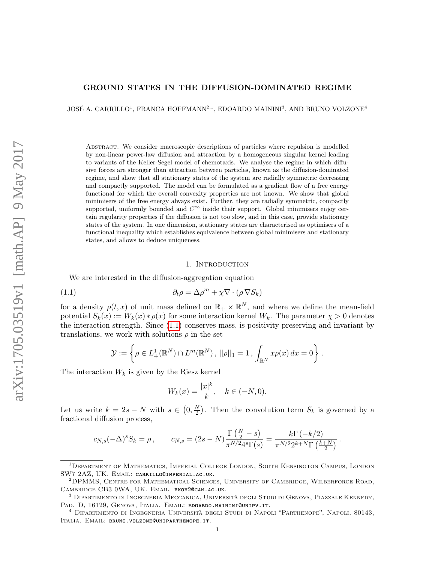# GROUND STATES IN THE DIFFUSION-DOMINATED REGIME

JOSÉ A. CARRILLO<sup>1</sup>, FRANCA HOFFMANN<sup>2,1</sup>, EDOARDO MAININI<sup>3</sup>, AND BRUNO VOLZONE<sup>4</sup>

Abstract. We consider macroscopic descriptions of particles where repulsion is modelled by non-linear power-law diffusion and attraction by a homogeneous singular kernel leading to variants of the Keller-Segel model of chemotaxis. We analyse the regime in which diffusive forces are stronger than attraction between particles, known as the diffusion-dominated regime, and show that all stationary states of the system are radially symmetric decreasing and compactly supported. The model can be formulated as a gradient flow of a free energy functional for which the overall convexity properties are not known. We show that global minimisers of the free energy always exist. Further, they are radially symmetric, compactly supported, uniformly bounded and  $C^{\infty}$  inside their support. Global minimisers enjoy certain regularity properties if the diffusion is not too slow, and in this case, provide stationary states of the system. In one dimension, stationary states are characterised as optimisers of a functional inequality which establishes equivalence between global minimisers and stationary states, and allows to deduce uniqueness.

#### <span id="page-0-0"></span>1. Introduction

We are interested in the diffusion-aggregation equation

(1.1) 
$$
\partial_t \rho = \Delta \rho^m + \chi \nabla \cdot (\rho \nabla S_k)
$$

for a density  $\rho(t,x)$  of unit mass defined on  $\mathbb{R}_+ \times \mathbb{R}^N$ , and where we define the mean-field potential  $S_k(x) := W_k(x) * \rho(x)$  for some interaction kernel  $W_k$ . The parameter  $\chi > 0$  denotes the interaction strength. Since [\(1.1\)](#page-0-0) conserves mass, is positivity preserving and invariant by translations, we work with solutions  $\rho$  in the set

$$
\mathcal{Y} := \left\{ \rho \in L^1_+(\mathbb{R}^N) \cap L^m(\mathbb{R}^N), ||\rho||_1 = 1, \int_{\mathbb{R}^N} x \rho(x) dx = 0 \right\}.
$$

The interaction  $W_k$  is given by the Riesz kernel

$$
W_k(x) = \frac{|x|^k}{k}, \quad k \in (-N, 0).
$$

Let us write  $k = 2s - N$  with  $s \in (0, \frac{N}{2})$  $\frac{N}{2}$ ). Then the convolution term  $S_k$  is governed by a fractional diffusion process,

$$
c_{N,s}(-\Delta)^s S_k = \rho \,, \qquad c_{N,s} = (2s - N) \frac{\Gamma(\frac{N}{2} - s)}{\pi^{N/2} 4^s \Gamma(s)} = \frac{k \Gamma(-k/2)}{\pi^{N/2} 2^{k+N} \Gamma(\frac{k+N}{2})} \,.
$$

<sup>&</sup>lt;sup>1</sup>DEPARTMENT OF MATHEMATICS, IMPERIAL COLLEGE LONDON, SOUTH KENSINGTON CAMPUS, LONDON SW7 2AZ, UK. Email: carrillo@imperial.ac.uk.

<sup>2</sup>DPMMS, Centre for Mathematical Sciences, University of Cambridge, Wilberforce Road, Cambridge CB3 0WA, UK. Email: fkoh2@cam.ac.uk.

<sup>3</sup> Dipartimento di Ingegneria Meccanica, Università degli Studi di Genova, Piazzale Kennedy, PAD. D, 16129, GENOVA, ITALIA. EMAIL: EDOARDO.MAININI@UNIPV.IT.

<sup>4</sup> Dipartimento di Ingegneria Università degli Studi di Napoli "Parthenope", Napoli, 80143, Italia. Email: bruno.volzone@uniparthenope.it.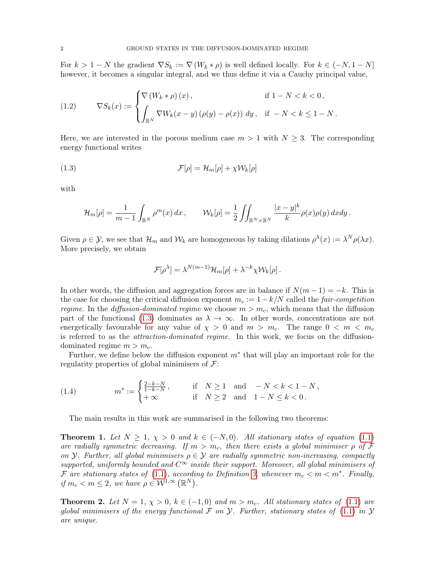For  $k > 1 - N$  the gradient  $\nabla S_k := \nabla (W_k * \rho)$  is well defined locally. For  $k \in (-N, 1 - N]$ however, it becomes a singular integral, and we thus define it via a Cauchy principal value,

<span id="page-1-2"></span>(1.2) 
$$
\nabla S_k(x) := \begin{cases} \nabla \left( W_k * \rho \right)(x), & \text{if } 1 - N < k < 0, \\ \n\int_{\mathbb{R}^N} \nabla W_k(x - y) \left( \rho(y) - \rho(x) \right) \, dy, & \text{if } -N < k \leq 1 - N \,. \n\end{cases}
$$

Here, we are interested in the porous medium case  $m > 1$  with  $N \geq 3$ . The corresponding energy functional writes

(1.3) 
$$
\mathcal{F}[\rho] = \mathcal{H}_m[\rho] + \chi \mathcal{W}_k[\rho]
$$

with

<span id="page-1-0"></span>
$$
\mathcal{H}_m[\rho] = \frac{1}{m-1} \int_{\mathbb{R}^N} \rho^m(x) dx, \qquad \mathcal{W}_k[\rho] = \frac{1}{2} \iint_{\mathbb{R}^N \times \mathbb{R}^N} \frac{|x-y|^k}{k} \rho(x) \rho(y) dx dy.
$$

Given  $\rho \in \mathcal{Y}$ , we see that  $\mathcal{H}_m$  and  $\mathcal{W}_k$  are homogeneous by taking dilations  $\rho^{\lambda}(x) := \lambda^N \rho(\lambda x)$ . More precisely, we obtain

$$
\mathcal{F}[\rho^{\lambda}] = \lambda^{N(m-1)} \mathcal{H}_m[\rho] + \lambda^{-k} \chi \mathcal{W}_k[\rho].
$$

In other words, the diffusion and aggregation forces are in balance if  $N(m-1) = -k$ . This is the case for choosing the critical diffusion exponent  $m_c := 1 - k/N$  called the *fair-competition* regime. In the diffusion-dominated regime we choose  $m > m_c$ , which means that the diffusion part of the functional [\(1.3\)](#page-1-0) dominates as  $\lambda \to \infty$ . In other words, concentrations are not energetically favourable for any value of  $\chi > 0$  and  $m > m_c$ . The range  $0 < m < m_c$ is referred to as the attraction-dominated regime. In this work, we focus on the diffusiondominated regime  $m > m_c$ .

Further, we define below the diffusion exponent  $m^*$  that will play an important role for the regularity properties of global minimisers of  $\mathcal{F}$ :

<span id="page-1-3"></span>(1.4) 
$$
m^* := \begin{cases} \frac{2-k-N}{1-k-N}, & \text{if } N \ge 1 \text{ and } -N < k < 1-N, \\ +\infty & \text{if } N \ge 2 \text{ and } 1-N \le k < 0. \end{cases}
$$

The main results in this work are summarised in the following two theorems:

<span id="page-1-1"></span>**Theorem 1.** Let  $N \geq 1$ ,  $\chi > 0$  and  $k \in (-N, 0)$ . All stationary states of equation [\(1.1\)](#page-0-0) are radially symmetric decreasing. If  $m > m_c$ , then there exists a global minimiser  $\rho$  of  $\mathcal F$ on Y. Further, all global minimisers  $\rho \in \mathcal{Y}$  are radially symmetric non-increasing, compactly supported, uniformly bounded and  $C^{\infty}$  inside their support. Moreover, all global minimisers of F are stationary states of [\(1.1\)](#page-0-0), according to Definition [3,](#page-4-0) whenever  $m_c < m < m^*$ . Finally, if  $m_c < m \leq 2$ , we have  $\rho \in \mathcal{W}^{1,\infty}(\mathbb{R}^N)$ .

<span id="page-1-4"></span>**Theorem 2.** Let  $N = 1$ ,  $\chi > 0$ ,  $k \in (-1,0)$  and  $m > m_c$ . All stationary states of [\(1.1\)](#page-0-0) are global minimisers of the energy functional  $\mathcal F$  on  $\mathcal Y$ . Further, stationary states of [\(1.1\)](#page-0-0) in  $\mathcal Y$ are unique.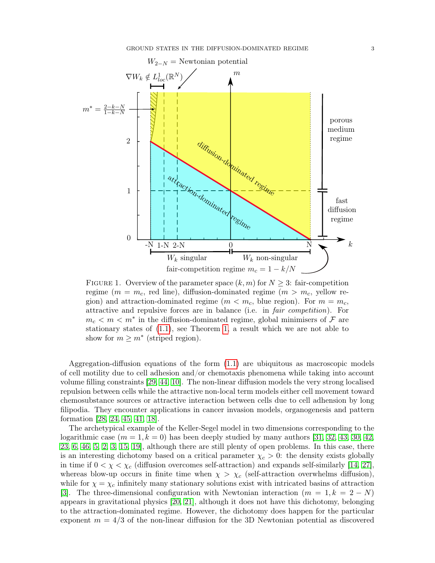

<span id="page-2-0"></span>FIGURE 1. Overview of the parameter space  $(k, m)$  for  $N \geq 3$ : fair-competition regime ( $m = m_c$ , red line), diffusion-dominated regime ( $m > m_c$ , yellow region) and attraction-dominated regime ( $m < m_c$ , blue region). For  $m = m_c$ , attractive and repulsive forces are in balance (i.e. in fair competition). For  $m_c < m < m^*$  in the diffusion-dominated regime, global minimisers of  $\mathcal F$  are stationary states of [\(1.1\)](#page-0-0), see Theorem [1,](#page-1-1) a result which we are not able to show for  $m \geq m^*$  (striped region).

Aggregation-diffusion equations of the form [\(1.1\)](#page-0-0) are ubiquitous as macroscopic models of cell motility due to cell adhesion and/or chemotaxis phenomena while taking into account volume filling constraints [\[29,](#page-23-0) [44,](#page-24-0) [10\]](#page-23-1). The non-linear diffusion models the very strong localised repulsion between cells while the attractive non-local term models either cell movement toward chemosubstance sources or attractive interaction between cells due to cell adhension by long filipodia. They encounter applications in cancer invasion models, organogenesis and pattern formation [\[28,](#page-23-2) [24,](#page-23-3) [45,](#page-24-1) [41,](#page-24-2) [18\]](#page-23-4).

The archetypical example of the Keller-Segel model in two dimensions corresponding to the logarithmic case  $(m = 1, k = 0)$  has been deeply studied by many authors [\[31,](#page-23-5) [32,](#page-23-6) [43,](#page-24-3) [30,](#page-23-7) [42,](#page-24-4) [23,](#page-23-8) [6,](#page-23-9) [46,](#page-24-5) [5,](#page-23-10) [2,](#page-22-0) [3,](#page-22-1) [15,](#page-23-11) [19\]](#page-23-12), although there are still plenty of open problems. In this case, there is an interesting dichotomy based on a critical parameter  $\chi_c > 0$ : the density exists globally in time if  $0 < \chi < \chi_c$  (diffusion overcomes self-attraction) and expands self-similarly [\[14,](#page-23-13) [27\]](#page-23-14), whereas blow-up occurs in finite time when  $\chi > \chi_c$  (self-attraction overwhelms diffusion), while for  $\chi = \chi_c$  infinitely many stationary solutions exist with intricated basins of attraction [\[3\]](#page-22-1). The three-dimensional configuration with Newtonian interaction  $(m = 1, k = 2 - N)$ appears in gravitational physics [\[20,](#page-23-15) [21\]](#page-23-16), although it does not have this dichotomy, belonging to the attraction-dominated regime. However, the dichotomy does happen for the particular exponent  $m = 4/3$  of the non-linear diffusion for the 3D Newtonian potential as discovered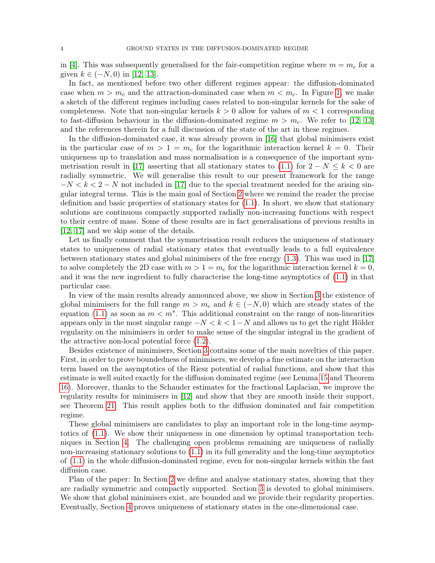in [\[4\]](#page-22-2). This was subsequently generalised for the fair-competition regime where  $m = m<sub>c</sub>$  for a given  $k \in (-N, 0)$  in [\[12,](#page-23-17) [13\]](#page-23-18).

In fact, as mentioned before two other different regimes appear: the diffusion-dominated case when  $m > m_c$  and the attraction-dominated case when  $m < m_c$ . In Figure [1,](#page-2-0) we make a sketch of the different regimes including cases related to non-singular kernels for the sake of completeness. Note that non-singular kernels  $k > 0$  allow for values of  $m < 1$  corresponding to fast-diffusion behaviour in the diffusion-dominated regime  $m > m_c$ . We refer to [\[12,](#page-23-17) [13\]](#page-23-18) and the references therein for a full discussion of the state of the art in these regimes.

In the diffusion-dominated case, it was already proven in [\[16\]](#page-23-19) that global minimisers exist in the particular case of  $m > 1 = m_c$  for the logarithmic interaction kernel  $k = 0$ . Their uniqueness up to translation and mass normalisation is a consequence of the important sym-metrisation result in [\[17\]](#page-23-20) asserting that all stationary states to [\(1.1\)](#page-0-0) for  $2 - N \leq k < 0$  are radially symmetric. We will generalise this result to our present framework for the range  $-N < k < 2-N$  not included in [\[17\]](#page-23-20) due to the special treatment needed for the arising singular integral terms. This is the main goal of Section [2](#page-4-1) where we remind the reader the precise definition and basic properties of stationary states for [\(1.1\)](#page-0-0). In short, we show that stationary solutions are continuous compactly supported radially non-increasing functions with respect to their centre of mass. Some of these results are in fact generalisations of previous results in [\[12,](#page-23-17) [17\]](#page-23-20) and we skip some of the details.

Let us finally comment that the symmetrisation result reduces the uniqueness of stationary states to uniqueness of radial stationary states that eventually leads to a full equivalence between stationary states and global minimisers of the free energy [\(1.3\)](#page-1-0). This was used in [\[17\]](#page-23-20) to solve completely the 2D case with  $m > 1 = m_c$  for the logarithmic interaction kernel  $k = 0$ , and it was the new ingredient to fully characterise the long-time asymptotics of [\(1.1\)](#page-0-0) in that particular case.

In view of the main results already announced above, we show in Section [3](#page-7-0) the existence of global minimisers for the full range  $m > m_c$  and  $k \in (-N, 0)$  which are steady states of the equation [\(1.1\)](#page-0-0) as soon as  $m < m^*$ . This additional constraint on the range of non-linearities appears only in the most singular range  $-N < k < 1-N$  and allows us to get the right Hölder regularity on the minimisers in order to make sense of the singular integral in the gradient of the attractive non-local potential force [\(1.2\)](#page-1-2).

Besides existence of minimisers, Section [3](#page-7-0) contains some of the main novelties of this paper. First, in order to prove boundedness of minimisers, we develop a fine estimate on the interaction term based on the asymptotics of the Riesz potential of radial functions, and show that this estimate is well suited exactly for the diffusion dominated regime (see Lemma [15](#page-9-0) and Theorem [16\)](#page-11-0). Moreover, thanks to the Schauder estimates for the fractional Laplacian, we improve the regularity results for minimisers in [\[12\]](#page-23-17) and show that they are smooth inside their support, see Theorem [21.](#page-17-0) This result applies both to the diffusion dominated and fair competition regime.

These global minimisers are candidates to play an important role in the long-time asymptotics of [\(1.1\)](#page-0-0). We show their uniqueness in one dimension by optimal transportation techniques in Section [4.](#page-18-0) The challenging open problems remaining are uniqueness of radially non-increasing stationary solutions to [\(1.1\)](#page-0-0) in its full generality and the long-time asymptotics of [\(1.1\)](#page-0-0) in the whole diffusion-dominated regime, even for non-singular kernels within the fast diffusion case.

Plan of the paper: In Section [2](#page-4-1) we define and analyse stationary states, showing that they are radially symmetric and compactly supported. Section [3](#page-7-0) is devoted to global minimisers. We show that global minimisers exist, are bounded and we provide their regularity properties. Eventually, Section [4](#page-18-0) proves uniqueness of stationary states in the one-dimensional case.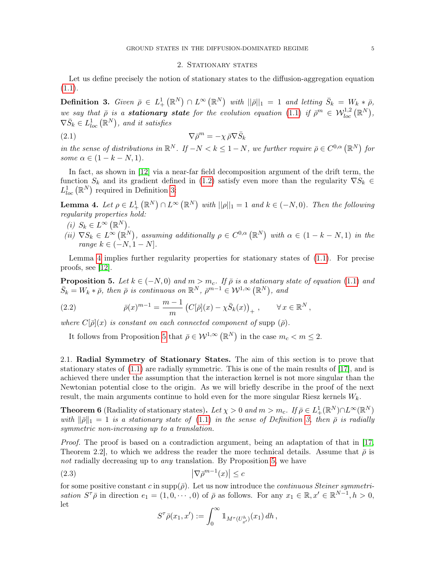## <span id="page-4-7"></span>2. STATIONARY STATES

<span id="page-4-1"></span>Let us define precisely the notion of stationary states to the diffusion-aggregation equation  $(1.1).$  $(1.1).$ 

<span id="page-4-0"></span>**Definition 3.** Given  $\bar{\rho} \in L^1_+(\mathbb{R}^N) \cap L^{\infty}(\mathbb{R}^N)$  with  $||\bar{\rho}||_1 = 1$  and letting  $\bar{S}_k = W_k * \bar{\rho}$ , we say that  $\bar{\rho}$  is a **stationary state** for the evolution equation [\(1.1\)](#page-0-0) if  $\bar{\rho}^m \in \mathcal{W}_{loc}^{1,2}(\mathbb{R}^N)$ ,  $\nabla \bar{S}_k \in L^1_{loc}(\mathbb{R}^N)$ , and it satisfies

(2.1) 
$$
\nabla \bar{\rho}^m = -\chi \bar{\rho} \nabla \bar{S}_k
$$

in the sense of distributions in  $\mathbb{R}^N$ . If  $-N < k \leq 1-N$ , we further require  $\bar{\rho} \in C^{0,\alpha}(\mathbb{R}^N)$  for some  $\alpha \in (1 - k - N, 1)$ .

In fact, as shown in [\[12\]](#page-23-17) via a near-far field decomposition argument of the drift term, the function  $S_k$  and its gradient defined in [\(1.2\)](#page-1-2) satisfy even more than the regularity  $\nabla S_k \in$  $L^1_{loc}(\mathbb{R}^N)$  required in Definition [3:](#page-4-0)

<span id="page-4-2"></span>**Lemma 4.** Let  $\rho \in L^1_+ (\mathbb{R}^N) \cap L^{\infty} (\mathbb{R}^N)$  with  $||\rho||_1 = 1$  and  $k \in (-N, 0)$ . Then the following regularity properties hold:

- (i)  $S_k \in L^{\infty}(\mathbb{R}^N)$ .
- (ii)  $\nabla S_k \in L^{\infty}(\mathbb{R}^N)$ , assuming additionally  $\rho \in C^{0,\alpha}(\mathbb{R}^N)$  with  $\alpha \in (1-k-N,1)$  in the range  $k \in (-N, 1-N]$ .

Lemma [4](#page-4-2) implies further regularity properties for stationary states of [\(1.1\)](#page-0-0). For precise proofs, see [\[12\]](#page-23-17).

<span id="page-4-3"></span>**Proposition 5.** Let  $k \in (-N, 0)$  and  $m > m_c$ . If  $\bar{\rho}$  is a stationary state of equation [\(1.1\)](#page-0-0) and  $\bar{S}_k = W_k * \bar{\rho}$ , then  $\bar{\rho}$  is continuous on  $\mathbb{R}^N$ ,  $\bar{\rho}^{m-1} \in \mathcal{W}^{1,\infty}(\mathbb{R}^N)$ , and

<span id="page-4-6"></span>(2.2) 
$$
\bar{\rho}(x)^{m-1} = \frac{m-1}{m} \left( C[\bar{\rho}](x) - \chi \bar{S}_k(x) \right)_+, \qquad \forall x \in \mathbb{R}^N,
$$

where  $C[\bar{\rho}](x)$  is constant on each connected component of supp  $(\bar{\rho})$ .

It follows from Proposition [5](#page-4-3) that  $\bar{\rho} \in \mathcal{W}^{1,\infty}(\mathbb{R}^N)$  in the case  $m_c < m \leq 2$ .

2.1. Radial Symmetry of Stationary States. The aim of this section is to prove that stationary states of [\(1.1\)](#page-0-0) are radially symmetric. This is one of the main results of [\[17\]](#page-23-20), and is achieved there under the assumption that the interaction kernel is not more singular than the Newtonian potential close to the origin. As we will briefly describe in the proof of the next result, the main arguments continue to hold even for the more singular Riesz kernels  $W_k$ .

<span id="page-4-5"></span>**Theorem 6** (Radiality of stationary states). Let  $\chi > 0$  and  $m > m_c$ . If  $\bar{\rho} \in L^1_+(\mathbb{R}^N) \cap L^{\infty}(\mathbb{R}^N)$ with  $\|\bar{\rho}\|_1 = 1$  is a stationary state of [\(1.1\)](#page-0-0) in the sense of Definition [3,](#page-4-0) then  $\bar{\rho}$  is radially symmetric non-increasing up to a translation.

Proof. The proof is based on a contradiction argument, being an adaptation of that in [\[17,](#page-23-20) Theorem 2.2, to which we address the reader the more technical details. Assume that  $\bar{\rho}$  is not radially decreasing up to *any* translation. By Proposition [5,](#page-4-3) we have

$$
|\nabla \bar{\rho}^{m-1}(x)| \le c
$$

for some positive constant c in supp $(\bar{\rho})$ . Let us now introduce the *continuous Steiner symmetri*sation  $S^{\tau}\bar{\rho}$  in direction  $e_1 = (1, 0, \dots, 0)$  of  $\bar{\rho}$  as follows. For any  $x_1 \in \mathbb{R}, x' \in \mathbb{R}^{N-1}, h > 0$ , let

<span id="page-4-4"></span>
$$
S^{\tau}\bar{\rho}(x_1,x') := \int_0^{\infty} 1\!\!1_{M^{\tau}(U_{x'}^h)}(x_1) \,dh\,,
$$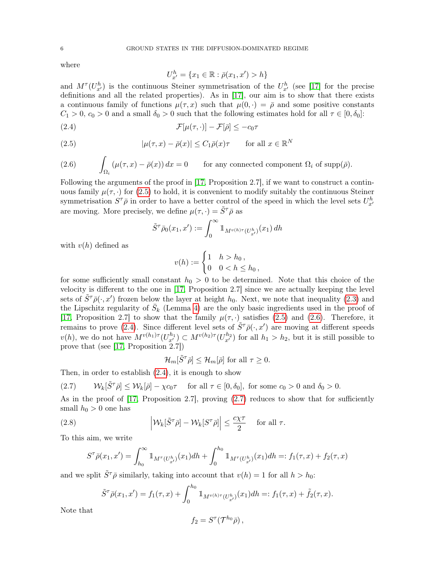where

<span id="page-5-2"></span><span id="page-5-0"></span>
$$
U_{x'}^h = \{x_1 \in \mathbb{R} : \bar{\rho}(x_1, x') > h\}
$$

and  $M^{\tau}(U^h_{x'})$  is the continuous Steiner symmetrisation of the  $U^h_{x'}$  (see [\[17\]](#page-23-20) for the precise definitions and all the related properties). As in [\[17\]](#page-23-20), our aim is to show that there exists a continuous family of functions  $\mu(\tau, x)$  such that  $\mu(0, \cdot) = \overline{\rho}$  and some positive constants  $C_1 > 0$ ,  $c_0 > 0$  and a small  $\delta_0 > 0$  such that the following estimates hold for all  $\tau \in [0, \delta_0]$ :

(2.4) 
$$
\mathcal{F}[\mu(\tau,\cdot)] - \mathcal{F}[\bar{\rho}] \leq -c_0 \tau
$$

(2.5) 
$$
|\mu(\tau, x) - \bar{\rho}(x)| \le C_1 \bar{\rho}(x)\tau \quad \text{for all } x \in \mathbb{R}^N
$$

<span id="page-5-1"></span>(2.6) 
$$
\int_{\Omega_i} (\mu(\tau, x) - \bar{\rho}(x)) dx = 0 \quad \text{for any connected component } \Omega_i \text{ of } \text{supp}(\bar{\rho}).
$$

Following the arguments of the proof in [\[17,](#page-23-20) Proposition 2.7], if we want to construct a continuous family  $\mu(\tau, \cdot)$  for [\(2.5\)](#page-5-0) to hold, it is convenient to modify suitably the continuous Steiner symmetrisation  $S^{\tau}\bar{\rho}$  in order to have a better control of the speed in which the level sets  $U_{x'}^{h}$ are moving. More precisely, we define  $\mu(\tau, \cdot) = \tilde{S}^{\tau} \bar{\rho}$  as

$$
\tilde{S}^{\tau}\bar{\rho}_0(x_1, x') := \int_0^{\infty} \mathbb{1}_{M^{v(h)\tau}(U_{x'}^h)}(x_1) \, dh
$$

with  $v(h)$  defined as

$$
v(h) := \begin{cases} 1 & h > h_0, \\ 0 & 0 < h \le h_0, \end{cases}
$$

for some sufficiently small constant  $h_0 > 0$  to be determined. Note that this choice of the velocity is different to the one in [\[17,](#page-23-20) Proposition 2.7] since we are actually keeping the level sets of  $\tilde{S}^{\tau}\bar{\rho}(\cdot,x')$  frozen below the layer at height  $h_0$ . Next, we note that inequality [\(2.3\)](#page-4-4) and the Lipschitz regularity of  $\bar{S}_k$  (Lemma [4\)](#page-4-2) are the only basic ingredients used in the proof of [\[17,](#page-23-20) Proposition 2.7] to show that the family  $\mu(\tau, \cdot)$  satisfies [\(2.5\)](#page-5-0) and [\(2.6\)](#page-5-1). Therefore, it remains to prove [\(2.4\)](#page-5-2). Since different level sets of  $\tilde{S}^{\tau}\bar{\rho}(\cdot,x')$  are moving at different speeds  $v(h)$ , we do not have  $M^{v(h_1)\tau}(U_{x'}^{h_1}) \subset M^{v(h_2)\tau}(U_{x'}^{h_2})$  for all  $h_1 > h_2$ , but it is still possible to prove that (see [\[17,](#page-23-20) Proposition  $2.7$ ])

<span id="page-5-4"></span>
$$
\mathcal{H}_m[\tilde{S}^\tau \bar{\rho}] \le \mathcal{H}_m[\bar{\rho}] \text{ for all } \tau \ge 0.
$$

Then, in order to establish [\(2.4\)](#page-5-2), it is enough to show

<span id="page-5-3"></span>(2.7) 
$$
\mathcal{W}_k[\tilde{S}^\tau \bar{\rho}] \le \mathcal{W}_k[\bar{\rho}] - \chi c_0 \tau \quad \text{for all } \tau \in [0, \delta_0], \text{ for some } c_0 > 0 \text{ and } \delta_0 > 0.
$$

As in the proof of  $[17,$  Proposition 2.7, proving  $(2.7)$  reduces to show that for sufficiently small  $h_0 > 0$  one has

(2.8) 
$$
\left| \mathcal{W}_k[\tilde{S}^\tau \bar{\rho}] - \mathcal{W}_k[S^\tau \bar{\rho}] \right| \leq \frac{c\chi\tau}{2} \quad \text{for all } \tau.
$$

To this aim, we write

$$
S^{\tau}\bar{\rho}(x_1, x') = \int_{h_0}^{\infty} \mathbb{1}_{M^{\tau}(U_{x'}^h)}(x_1)dh + \int_0^{h_0} \mathbb{1}_{M^{\tau}(U_{x'}^h)}(x_1)dh =: f_1(\tau, x) + f_2(\tau, x)
$$

and we split  $S^{\tau} \bar{\rho}$  similarly, taking into account that  $v(h) = 1$  for all  $h > h_0$ :

$$
\tilde{S}^{\tau}\bar{\rho}(x_1,x') = f_1(\tau,x) + \int_0^{h_0} \mathbb{1}_{M^{v(h)\tau}(U_{x'}^h)}(x_1)dh =: f_1(\tau,x) + \tilde{f}_2(\tau,x).
$$

Note that

$$
f_2 = S^{\tau}(\mathcal{T}^{h_0}\bar{\rho}),
$$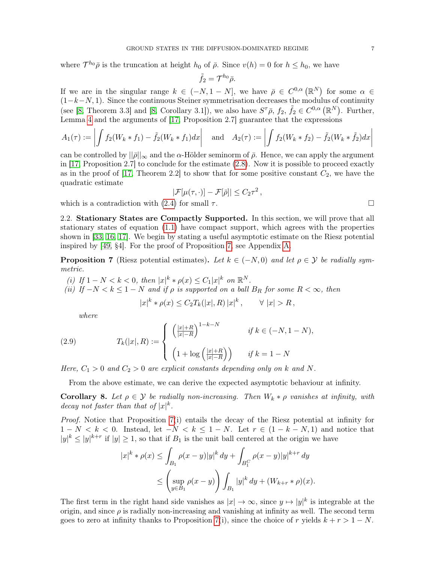where  $\mathcal{T}^{h_0}\bar{\rho}$  is the truncation at height  $h_0$  of  $\bar{\rho}$ . Since  $v(h) = 0$  for  $h \leq h_0$ , we have

$$
\tilde{f}_2=\mathcal{T}^{h_0}\bar{\rho}.
$$

If we are in the singular range  $k \in (-N, 1 - N]$ , we have  $\bar{\rho} \in C^{0,\alpha}(\mathbb{R}^N)$  for some  $\alpha \in$  $(1-k-N, 1)$ . Since the continuous Steiner symmetrisation decreases the modulus of continuity (see [\[8,](#page-23-21) Theorem 3.3] and [8, Corollary 3.1]), we also have  $S^{\tau}\bar{\rho}$ ,  $f_2$ ,  $\tilde{f}_2 \in C^{0,\alpha}(\mathbb{R}^N)$ . Further, Lemma [4](#page-4-2) and the arguments of [\[17,](#page-23-20) Proposition 2.7] guarantee that the expressions

$$
A_1(\tau) := \left| \int f_2(W_k * f_1) - \tilde{f}_2(W_k * f_1) dx \right| \quad \text{and} \quad A_2(\tau) := \left| \int f_2(W_k * f_2) - \tilde{f}_2(W_k * \tilde{f}_2) dx \right|
$$

can be controlled by  $||\bar{\rho}||_{\infty}$  and the  $\alpha$ -Hölder seminorm of  $\bar{\rho}$ . Hence, we can apply the argument in [\[17,](#page-23-20) Proposition 2.7] to conclude for the estimate [\(2.8\)](#page-5-4). Now it is possible to proceed exactly as in the proof of [\[17,](#page-23-20) Theorem 2.2] to show that for some positive constant  $C_2$ , we have the quadratic estimate

$$
|\mathcal{F}[\mu(\tau,\cdot)] - \mathcal{F}[\bar{\rho}]| \le C_2 \tau^2
$$

,

which is a contradiction with [\(2.4\)](#page-5-2) for small  $\tau$ .

2.2. Stationary States are Compactly Supported. In this section, we will prove that all stationary states of equation [\(1.1\)](#page-0-0) have compact support, which agrees with the properties shown in [\[33,](#page-23-22) [16,](#page-23-19) [17\]](#page-23-20). We begin by stating a useful asymptotic estimate on the Riesz potential inspired by [\[49,](#page-24-6) §4]. For the proof of Proposition [7,](#page-6-0) see Appendix [A.](#page-20-0)

<span id="page-6-0"></span>**Proposition 7** (Riesz potential estimates). Let  $k \in (-N, 0)$  and let  $\rho \in \mathcal{Y}$  be radially symmetric.

(i) If  $1 - N < k < 0$ , then  $|x|^k * \rho(x) \leq C_1 |x|^k$  on  $\mathbb{R}^N$ . (ii) If  $-N < k \leq 1-N$  and if  $\rho$  is supported on a ball  $B_R$  for some  $R < \infty$ , then

<span id="page-6-2"></span>
$$
|x|^k * \rho(x) \le C_2 T_k(|x|, R) |x|^k, \qquad \forall |x| > R,
$$

where

(2.9) 
$$
T_k(|x|, R) := \begin{cases} \left(\frac{|x|+R}{|x|-R}\right)^{1-k-N} & \text{if } k \in (-N, 1-N), \\ \left(1 + \log\left(\frac{|x|+R}{|x|-R}\right)\right) & \text{if } k = 1-N \end{cases}
$$

Here,  $C_1 > 0$  and  $C_2 > 0$  are explicit constants depending only on k and N.

From the above estimate, we can derive the expected asymptotic behaviour at infinity.

<span id="page-6-1"></span>**Corollary 8.** Let  $\rho \in \mathcal{Y}$  be radially non-increasing. Then  $W_k * \rho$  vanishes at infinity, with decay not faster than that of  $|x|^{k}$ .

Proof. Notice that Proposition [7\(](#page-6-0)i) entails the decay of the Riesz potential at infinity for  $1 - N < k < 0$ . Instead, let  $-N < k \le 1 - N$ . Let  $r \in (1 - k - N, 1)$  and notice that  $|y|^k \le |y|^{k+r}$  if  $|y| \ge 1$ , so that if  $B_1$  is the unit ball centered at the origin we have

$$
|x|^{k} * \rho(x) \leq \int_{B_1} \rho(x - y)|y|^{k} dy + \int_{B_1^C} \rho(x - y)|y|^{k+r} dy
$$
  

$$
\leq \left(\sup_{y \in B_1} \rho(x - y)\right) \int_{B_1} |y|^{k} dy + (W_{k+r} * \rho)(x).
$$

The first term in the right hand side vanishes as  $|x| \to \infty$ , since  $y \mapsto |y|^k$  is integrable at the origin, and since  $\rho$  is radially non-increasing and vanishing at infinity as well. The second term goes to zero at infinity thanks to Proposition [7\(](#page-6-0)i), since the choice of r yields  $k + r > 1 - N$ .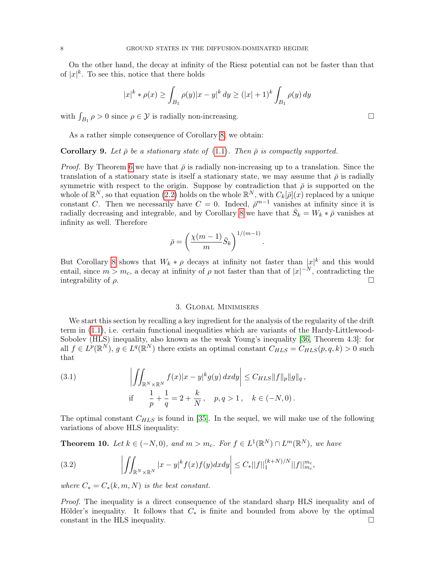On the other hand, the decay at infinity of the Riesz potential can not be faster than that of  $|x|^{k}$ . To see this, notice that there holds

$$
|x|^{k} * \rho(x) \ge \int_{B_1} \rho(y)|x - y|^{k} dy \ge (|x| + 1)^{k} \int_{B_1} \rho(y) dy
$$

with  $\int_{B_1} \rho > 0$  since  $\rho \in \mathcal{Y}$  is radially non-increasing.

As a rather simple consequence of Corollary [8,](#page-6-1) we obtain:

<span id="page-7-4"></span>**Corollary 9.** Let  $\bar{\rho}$  be a stationary state of [\(1.1\)](#page-0-0). Then  $\bar{\rho}$  is compactly supported.

*Proof.* By Theorem [6](#page-4-5) we have that  $\bar{\rho}$  is radially non-increasing up to a translation. Since the translation of a stationary state is itself a stationary state, we may assume that  $\bar{\rho}$  is radially symmetric with respect to the origin. Suppose by contradiction that  $\bar{\rho}$  is supported on the whole of  $\mathbb{R}^N$ , so that equation [\(2.2\)](#page-4-6) holds on the whole  $\mathbb{R}^N$ , with  $C_k[\bar{\rho}](x)$  replaced by a unique constant C. Then we necessarily have  $C = 0$ . Indeed,  $\bar{\rho}^{m-1}$  vanishes at infinity since it is radially decreasing and integrable, and by Corollary [8](#page-6-1) we have that  $\bar{S}_k = W_k * \bar{\rho}$  vanishes at infinity as well. Therefore

$$
\bar{\rho} = \left(\frac{\chi(m-1)}{m}\bar{S}_k\right)^{1/(m-1)}
$$

.

But Corollary [8](#page-6-1) shows that  $W_k * \rho$  decays at infinity not faster than  $|x|^k$  and this would entail, since  $m > m_c$ , a decay at infinity of  $\rho$  not faster than that of  $|x|^{-N}$ , contradicting the integrability of  $\rho$ .

### 3. Global Minimisers

<span id="page-7-0"></span>We start this section by recalling a key ingredient for the analysis of the regularity of the drift term in [\(1.1\)](#page-0-0), i.e. certain functional inequalities which are variants of the Hardy-Littlewood-Sobolev (HLS) inequality, also known as the weak Young's inequality [\[36,](#page-24-7) Theorem 4.3]: for all  $f \in L^p(\mathbb{R}^N)$ ,  $g \in L^q(\mathbb{R}^N)$  there exists an optimal constant  $C_{HLS} = C_{HLS}(p,q,k) > 0$  such that

<span id="page-7-1"></span>(3.1) 
$$
\left| \iint_{\mathbb{R}^N \times \mathbb{R}^N} f(x) |x - y|^k g(y) dx dy \right| \leq C_{HLS} ||f||_p ||g||_q,
$$
  
if 
$$
\frac{1}{p} + \frac{1}{q} = 2 + \frac{k}{N}, \quad p, q > 1, \quad k \in (-N, 0).
$$

The optimal constant  $C_{HLS}$  is found in [\[35\]](#page-24-8). In the sequel, we will make use of the following variations of above HLS inequality:

<span id="page-7-2"></span>**Theorem 10.** Let  $k \in (-N,0)$ , and  $m > m_c$ . For  $f \in L^1(\mathbb{R}^N) \cap L^m(\mathbb{R}^N)$ , we have

<span id="page-7-3"></span>(3.2) 
$$
\left| \iint_{\mathbb{R}^N \times \mathbb{R}^N} |x - y|^k f(x) f(y) dx dy \right| \leq C_* ||f||_1^{(k+N)/N} ||f||_{m_c}^{m_c},
$$

where  $C_* = C_*(k, m, N)$  is the best constant.

Proof. The inequality is a direct consequence of the standard sharp HLS inequality and of Hölder's inequality. It follows that  $C_*$  is finite and bounded from above by the optimal  $\Box$  constant in the HLS inequality.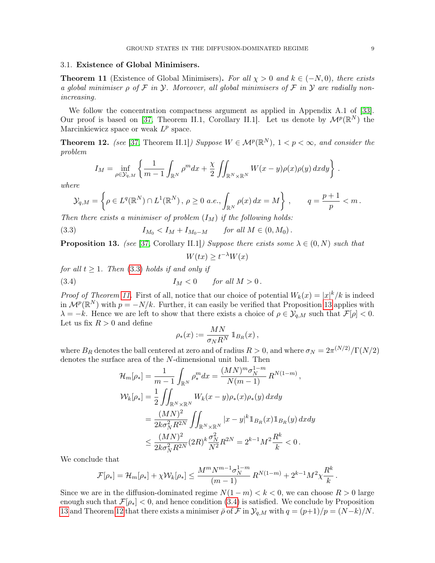## 3.1. Existence of Global Minimisers.

<span id="page-8-1"></span>**Theorem 11** (Existence of Global Minimisers). For all  $\chi > 0$  and  $k \in (-N, 0)$ , there exists a global minimiser  $\rho$  of  $\mathcal F$  in  $\mathcal Y$ . Moreover, all global minimisers of  $\mathcal F$  in  $\mathcal Y$  are radially nonincreasing.

We follow the concentration compactness argument as applied in Appendix A.1 of [\[33\]](#page-23-22). Our proof is based on [\[37,](#page-24-9) Theorem II.1, Corollary II.1]. Let us denote by  $\mathcal{M}^p(\mathbb{R}^N)$  the Marcinkiewicz space or weak  $L^p$  space.

<span id="page-8-4"></span>**Theorem 12.** (see [\[37,](#page-24-9) Theorem II.1]) Suppose  $W \in \mathcal{M}^p(\mathbb{R}^N)$ ,  $1 < p < \infty$ , and consider the problem

$$
I_M = \inf_{\rho \in \mathcal{Y}_{q,M}} \left\{ \frac{1}{m-1} \int_{\mathbb{R}^N} \rho^m dx + \frac{\chi}{2} \iint_{\mathbb{R}^N \times \mathbb{R}^N} W(x-y) \rho(x) \rho(y) dx dy \right\}.
$$

where

$$
\mathcal{Y}_{q,M} = \left\{ \rho \in L^q(\mathbb{R}^N) \cap L^1(\mathbb{R}^N), \ \rho \ge 0 \ a.e., \int_{\mathbb{R}^N} \rho(x) \, dx = M \right\}, \qquad q = \frac{p+1}{p} < m \, .
$$

Then there exists a minimiser of problem  $(I_M)$  if the following holds:

(3.3) 
$$
I_{M_0} < I_M + I_{M_0 - M} \quad \text{for all } M \in (0, M_0).
$$

<span id="page-8-2"></span>**Proposition 13.** (see [\[37,](#page-24-9) Corollary II.1]) Suppose there exists some  $\lambda \in (0, N)$  such that

<span id="page-8-3"></span><span id="page-8-0"></span>
$$
W(tx) \ge t^{-\lambda} W(x)
$$

for all  $t \geq 1$ . Then [\(3.3\)](#page-8-0) holds if and only if

(3.4) 
$$
I_M < 0 \quad \text{for all } M > 0 \, .
$$

*Proof of Theorem [11.](#page-8-1)* First of all, notice that our choice of potential  $W_k(x) = |x|^k / k$  is indeed in  $\mathcal{M}^p(\mathbb{R}^N)$  with  $p = -N/k$ . Further, it can easily be verified that Proposition [13](#page-8-2) applies with  $\lambda = -k$ . Hence we are left to show that there exists a choice of  $\rho \in \mathcal{Y}_{q,M}$  such that  $\mathcal{F}[\rho] < 0$ . Let us fix  $R > 0$  and define

$$
\rho_*(x) := \frac{MN}{\sigma_N R^N} \mathbbm{1}_{B_R}(x) ,
$$

where  $B_R$  denotes the ball centered at zero and of radius  $R > 0$ , and where  $\sigma_N = 2\pi^{(N/2)}/\Gamma(N/2)$ denotes the surface area of the N-dimensional unit ball. Then

$$
\mathcal{H}_{m}[\rho_{*}] = \frac{1}{m-1} \int_{\mathbb{R}^{N}} \rho_{*}^{m} dx = \frac{(MN)^{m} \sigma_{N}^{1-m}}{N(m-1)} R^{N(1-m)},
$$
  

$$
\mathcal{W}_{k}[\rho_{*}] = \frac{1}{2} \iint_{\mathbb{R}^{N} \times \mathbb{R}^{N}} W_{k}(x-y) \rho_{*}(x) \rho_{*}(y) dx dy
$$
  

$$
= \frac{(MN)^{2}}{2k \sigma_{N}^{2} R^{2N}} \iint_{\mathbb{R}^{N} \times \mathbb{R}^{N}} |x-y|^{k} \mathbb{1}_{B_{R}}(x) \mathbb{1}_{B_{R}}(y) dx dy
$$
  

$$
\leq \frac{(MN)^{2}}{2k \sigma_{N}^{2} R^{2N}} (2R)^{k} \frac{\sigma_{N}^{2}}{N^{2}} R^{2N} = 2^{k-1} M^{2} \frac{R^{k}}{k} < 0.
$$

We conclude that

$$
\mathcal{F}[\rho_*] = \mathcal{H}_m[\rho_*] + \chi \mathcal{W}_k[\rho_*] \le \frac{M^m N^{m-1} \sigma_N^{1-m}}{(m-1)} R^{N(1-m)} + 2^{k-1} M^2 \chi \frac{R^k}{k}.
$$

Since we are in the diffusion-dominated regime  $N(1-m) < k < 0$ , we can choose  $R > 0$  large enough such that  $\mathcal{F}[\rho_*] < 0$ , and hence condition [\(3.4\)](#page-8-3) is satisfied. We conclude by Proposition [13](#page-8-2) and Theorem [12](#page-8-4) that there exists a minimiser  $\bar{\rho}$  of  $\mathcal F$  in  $\mathcal Y_{q,M}$  with  $q = (p+1)/p = (N-k)/N$ .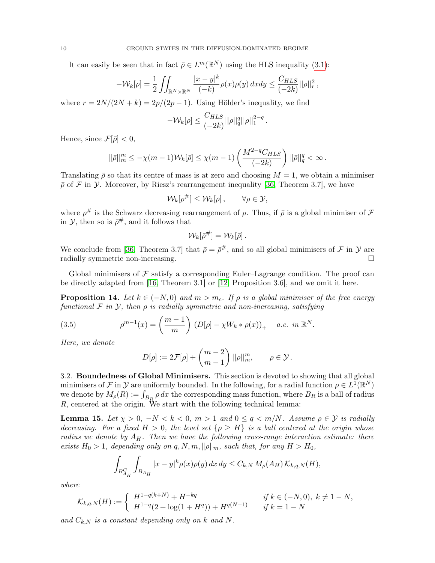It can easily be seen that in fact  $\bar{\rho} \in L^m(\mathbb{R}^N)$  using the HLS inequality [\(3.1\)](#page-7-1):

$$
-\mathcal{W}_k[\rho] = \frac{1}{2} \iint_{\mathbb{R}^N \times \mathbb{R}^N} \frac{|x - y|^k}{(-k)} \rho(x)\rho(y) dx dy \le \frac{C_{HLS}}{(-2k)} ||\rho||_r^2,
$$

where  $r = 2N/(2N + k) = 2p/(2p - 1)$ . Using Hölder's inequality, we find

$$
-\mathcal{W}_k[\rho] \le \frac{C_{HLS}}{(-2k)} ||\rho||_q^q ||\rho||_1^{2-q}
$$

.

Hence, since  $\mathcal{F}[\bar{\rho}] < 0$ ,

$$
||\bar{\rho}||_m^m \le -\chi(m-1)\mathcal{W}_k[\bar{\rho}] \le \chi(m-1)\left(\frac{M^{2-q}C_{HLS}}{(-2k)}\right)||\bar{\rho}||_q^q < \infty.
$$

Translating  $\bar{\rho}$  so that its centre of mass is at zero and choosing  $M = 1$ , we obtain a minimiser  $\bar{\rho}$  of F in Y. Moreover, by Riesz's rearrangement inequality [\[36,](#page-24-7) Theorem 3.7], we have

$$
\mathcal{W}_k[\rho^\#] \leq \mathcal{W}_k[\rho], \qquad \forall \rho \in \mathcal{Y},
$$

where  $\rho^{\#}$  is the Schwarz decreasing rearrangement of  $\rho$ . Thus, if  $\bar{\rho}$  is a global minimiser of  $\mathcal F$ in  $\mathcal{Y}$ , then so is  $\bar{\rho}^{\#}$ , and it follows that

$$
\mathcal{W}_k[\bar{\rho}^\#] = \mathcal{W}_k[\bar{\rho}]\,.
$$

We conclude from [\[36,](#page-24-7) Theorem 3.7] that  $\bar{\rho} = \bar{\rho}^{\#}$ , and so all global minimisers of  $\mathcal F$  in  $\mathcal Y$  are radially symmetric non-increasing.

Global minimisers of  $\mathcal F$  satisfy a corresponding Euler–Lagrange condition. The proof can be directly adapted from [\[16,](#page-23-19) Theorem 3.1] or [\[12,](#page-23-17) Proposition 3.6], and we omit it here.

<span id="page-9-1"></span>**Proposition 14.** Let  $k \in (-N, 0)$  and  $m > m_c$ . If  $\rho$  is a global minimiser of the free energy functional  $\mathcal F$  in  $\mathcal Y$ , then  $\rho$  is radially symmetric and non-increasing, satisfying

(3.5) 
$$
\rho^{m-1}(x) = \left(\frac{m-1}{m}\right) (D[\rho] - \chi W_k * \rho(x))_+ \quad a.e. \text{ in } \mathbb{R}^N.
$$

Here, we denote

<span id="page-9-2"></span>
$$
D[\rho] := 2\mathcal{F}[\rho] + \left(\frac{m-2}{m-1}\right) ||\rho||_m^m, \qquad \rho \in \mathcal{Y}.
$$

3.2. Boundedness of Global Minimisers. This section is devoted to showing that all global minimisers of F in Y are uniformly bounded. In the following, for a radial function  $\rho \in L^{\overline{1}}(\mathbb{R}^N)$ we denote by  $M_{\rho}(R) := \int_{B_R} \rho \, dx$  the corresponding mass function, where  $B_R$  is a ball of radius  $R$ , centered at the origin. We start with the following technical lemma:

<span id="page-9-0"></span>**Lemma 15.** Let  $\chi > 0$ ,  $-N < k < 0$ ,  $m > 1$  and  $0 \le q < m/N$ . Assume  $\rho \in \mathcal{Y}$  is radially decreasing. For a fixed  $H > 0$ , the level set  $\{\rho \geq H\}$  is a ball centered at the origin whose radius we denote by  $A_H$ . Then we have the following cross-range interaction estimate: there exists  $H_0 > 1$ , depending only on q, N, m,  $\|\rho\|_m$ , such that, for any  $H > H_0$ ,

$$
\int_{B_{A_H}^C} \int_{B_{A_H}} |x - y|^k \rho(x) \rho(y) \, dx \, dy \le C_{k,N} \, M_\rho(A_H) \, \mathcal{K}_{k,q,N}(H),
$$

where

$$
\mathcal{K}_{k,q,N}(H) := \begin{cases} H^{1-q(k+N)} + H^{-kq} & \text{if } k \in (-N,0), \ k \neq 1-N, \\ H^{1-q}(2 + \log(1 + H^q)) + H^{q(N-1)} & \text{if } k = 1-N \end{cases}
$$

and  $C_{k,N}$  is a constant depending only on k and N.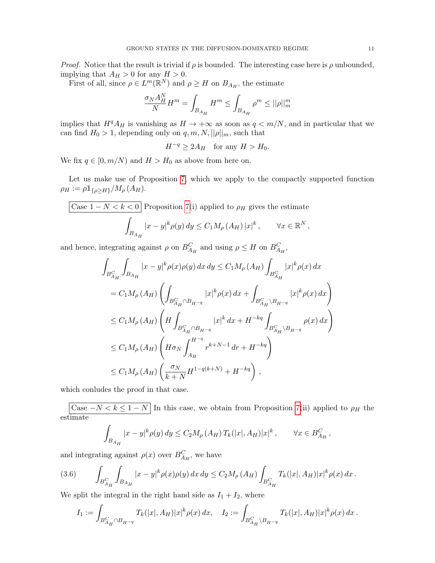*Proof.* Notice that the result is trivial if  $\rho$  is bounded. The interesting case here is  $\rho$  unbounded, implying that  $A_H > 0$  for any  $H > 0$ .

First of all, since  $\rho \in L^m(\mathbb{R}^N)$  and  $\rho \geq H$  on  $B_{A_H}$ , the estimate

$$
\frac{\sigma_N A_H^N}{N} H^m = \int_{B_{A_H}} H^m \le \int_{B_{A_H}} \rho^m \le ||\rho||_m^m
$$

implies that  $H^q A_H$  is vanishing as  $H \to +\infty$  as soon as  $q < m/N$ , and in particular that we can find  $H_0 > 1$ , depending only on  $q, m, N, ||\rho||_m$ , such that

 $H^{-q} \geq 2A_H$  for any  $H > H_0$ .

We fix  $q \in [0, m/N)$  and  $H > H_0$  as above from here on.

Let us make use of Proposition [7,](#page-6-0) which we apply to the compactly supported function  $\rho_H := \rho \mathbb{1}_{\{\rho > H\}} / M_{\rho} (A_H).$ 

$$
\boxed{\text{Case }1-N
$$

and hence, integrating against  $\rho$  on  $B_{A_H}^C$  and using  $\rho \leq H$  on  $B_{A_H}^C$ ,

$$
\int_{B_{A_{H}}^{C}} \int_{B_{A_{H}}} |x - y|^{k} \rho(x) \rho(y) dx dy \le C_{1} M_{\rho} (A_{H}) \int_{B_{A_{H}}^{C}} |x|^{k} \rho(x) dx \n= C_{1} M_{\rho} (A_{H}) \left( \int_{B_{A_{H}}^{C} \cap B_{H^{-q}}} |x|^{k} \rho(x) dx + \int_{B_{A_{H}}^{C} \setminus B_{H^{-q}}} |x|^{k} \rho(x) dx \right) \n\le C_{1} M_{\rho} (A_{H}) \left( H \int_{B_{A_{H}}^{C} \cap B_{H^{-q}}} |x|^{k} dx + H^{-kq} \int_{B_{A_{H}}^{C} \setminus B_{H^{-q}}} \rho(x) dx \right) \n\le C_{1} M_{\rho} (A_{H}) \left( H \sigma_{N} \int_{A_{H}}^{H^{-q}} r^{k+N-1} dr + H^{-kq} \right) \n\le C_{1} M_{\rho} (A_{H}) \left( \frac{\sigma_{N}}{k+N} H^{1-q(k+N)} + H^{-kq} \right),
$$

which conludes the proof in that case.

Case  $-N < k \leq 1-N$  In this case, we obtain from Proposition [7\(](#page-6-0)ii) applied to  $\rho_H$  the estimate

$$
\int_{B_{A_H}} |x - y|^k \rho(y) \, dy \le C_2 M_\rho(A_H) \, T_k(|x|, A_H) |x|^k \,, \qquad \forall x \in B_{A_H}^C \,,
$$

and integrating against  $\rho(x)$  over  $B_{A_H}^C$ , we have

<span id="page-10-0"></span>(3.6) 
$$
\int_{B_{A_H}^C} \int_{B_{A_H}} |x - y|^k \rho(x) \rho(y) dx dy \le C_2 M_\rho(A_H) \int_{B_{A_H}^C} T_k(|x|, A_H) |x|^k \rho(x) dx.
$$

We split the integral in the right hand side as  $I_1 + I_2$ , where

$$
I_1 := \int_{B_{A_H}^C \cap B_{H^{-q}}} T_k(|x|, A_H) |x|^k \rho(x) dx, \quad I_2 := \int_{B_{A_H}^C \backslash B_{H^{-q}}} T_k(|x|, A_H) |x|^k \rho(x) dx.
$$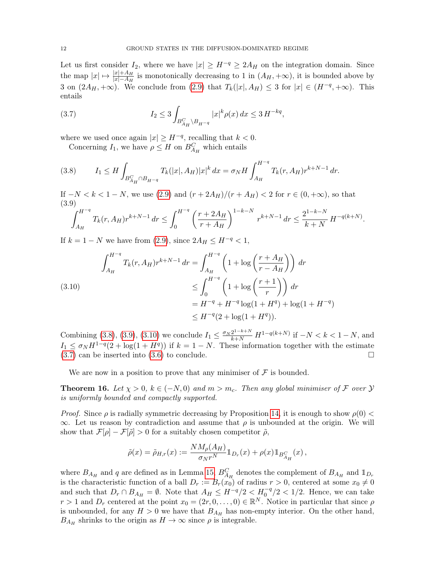Let us first consider  $I_2$ , where we have  $|x| \ge H^{-q} \ge 2A_H$  on the integration domain. Since the map  $|x| \mapsto \frac{|x|+A_H}{|x|-A_H}$  is monotonically decreasing to 1 in  $(A_H, +\infty)$ , it is bounded above by 3 on  $(2A_H, +\infty)$ . We conclude from  $(2.9)$  that  $T_k(|x|, A_H) \leq 3$  for  $|x| \in (H^{-q}, +\infty)$ . This entails

<span id="page-11-4"></span>(3.7) 
$$
I_2 \le 3 \int_{B_{A_H}^C \backslash B_{H^{-q}}} |x|^k \rho(x) dx \le 3 H^{-kq},
$$

where we used once again  $|x| \geq H^{-q}$ , recalling that  $k < 0$ .

Concerning  $I_1$ , we have  $\rho \leq H$  on  $B_{A_H}^C$  which entails

<span id="page-11-1"></span>(3.8) 
$$
I_1 \leq H \int_{B_{A_H}^C \cap B_{H^{-q}}} T_k(|x|, A_H) |x|^k dx = \sigma_N H \int_{A_H}^{H^{-q}} T_k(r, A_H) r^{k+N-1} dr.
$$

If  $-N < k < 1-N$ , we use  $(2.9)$  and  $(r + 2A_H)/(r + A_H) < 2$  for  $r \in (0, +\infty)$ , so that (3.9)

<span id="page-11-2"></span>
$$
\int_{A_H}^{H^{-q}} T_k(r, A_H) r^{k+N-1} \, dr \le \int_0^{H^{-q}} \left( \frac{r + 2A_H}{r + A_H} \right)^{1-k-N} \, r^{k+N-1} \, dr \le \frac{2^{1-k-N}}{k+N} \, H^{-q(k+N)}.
$$

If  $k = 1 - N$  we have from [\(2.9\)](#page-6-2), since  $2A_H \leq H^{-q} < 1$ ,

<span id="page-11-3"></span>
$$
\int_{A_H}^{H^{-q}} T_k(r, A_H) r^{k+N-1} dr = \int_{A_H}^{H^{-q}} \left( 1 + \log \left( \frac{r + A_H}{r - A_H} \right) \right) dr
$$
  
\n
$$
\leq \int_0^{H^{-q}} \left( 1 + \log \left( \frac{r + 1}{r} \right) \right) dr
$$
  
\n
$$
= H^{-q} + H^{-q} \log(1 + H^q) + \log(1 + H^{-q})
$$
  
\n
$$
\leq H^{-q} (2 + \log(1 + H^q)).
$$

Combining [\(3.8\)](#page-11-1), [\(3.9\)](#page-11-2), [\(3.10\)](#page-11-3) we conclude  $I_1 \n\t\leq \frac{\sigma_N 2^{1-k+N}}{k+N} H^{1-q(k+N)}$  if  $-N < k < 1-N$ , and  $I_1 \n\t\leq \sigma_N H^{1-q}(2 + \log(1 + H^q))$  if  $k = 1 - N$ . These information together with the estimate  $(3.7)$  can be inserted into  $(3.6)$  to conclude.

We are now in a position to prove that any minimiser of  $\mathcal F$  is bounded.

<span id="page-11-0"></span>**Theorem 16.** Let  $\chi > 0$ ,  $k \in (-N, 0)$  and  $m > m_c$ . Then any global minimiser of F over  $\mathcal{Y}$ is uniformly bounded and compactly supported.

*Proof.* Since  $\rho$  is radially symmetric decreasing by Proposition [14,](#page-9-1) it is enough to show  $\rho(0)$  $\infty$ . Let us reason by contradiction and assume that  $\rho$  is unbounded at the origin. We will show that  $\mathcal{F}[\rho] - \mathcal{F}[\tilde{\rho}] > 0$  for a suitably chosen competitor  $\tilde{\rho}$ ,

$$
\tilde{\rho}(x) = \tilde{\rho}_{H,r}(x) := \frac{N M_{\rho}(A_H)}{\sigma_N r^N} \mathbb{1}_{D_r}(x) + \rho(x) \mathbb{1}_{B_{A_H}^C}(x) ,
$$

where  $B_{A_H}$  and q are defined as in Lemma [15,](#page-9-0)  $B_{A_H}^C$  denotes the complement of  $B_{A_H}$  and  $\mathbb{1}_{D_r}$ is the characteristic function of a ball  $D_r := B_r(x_0)$  of radius  $r > 0$ , centered at some  $x_0 \neq 0$ and such that  $D_r \cap B_{A_H} = \emptyset$ . Note that  $A_H \leq H^{-q}/2 < H_0^{-q}/2 < 1/2$ . Hence, we can take  $r > 1$  and  $D_r$  centered at the point  $x_0 = (2r, 0, \ldots, 0) \in \mathbb{R}^N$ . Notice in particular that since  $\rho$ is unbounded, for any  $H > 0$  we have that  $B_{A_H}$  has non-empty interior. On the other hand,  $B_{A_H}$  shrinks to the origin as  $H \to \infty$  since  $\rho$  is integrable.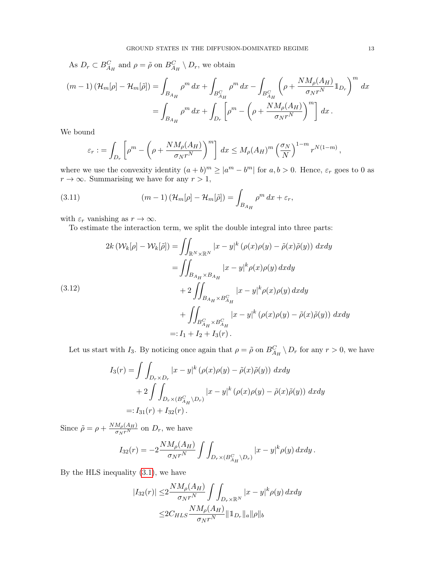As 
$$
D_r \,\subset B_{A_H}^C
$$
 and  $\rho = \tilde{\rho}$  on  $B_{A_H}^C \setminus D_r$ , we obtain  
\n
$$
(m-1) \left( \mathcal{H}_m[\rho] - \mathcal{H}_m[\tilde{\rho}] \right) = \int_{B_{A_H}} \rho^m \,dx + \int_{B_{A_H}^C} \rho^m \,dx - \int_{B_{A_H}^C} \left( \rho + \frac{N M_\rho(A_H)}{\sigma_N r^N} \mathbb{1}_{D_r} \right)^m \,dx
$$
\n
$$
= \int_{B_{A_H}} \rho^m \,dx + \int_{D_r} \left[ \rho^m - \left( \rho + \frac{N M_\rho(A_H)}{\sigma_N r^N} \right)^m \right] \,dx \,.
$$

We bound

<span id="page-12-0"></span>
$$
\varepsilon_r := \int_{D_r} \left[ \rho^m - \left( \rho + \frac{N M_\rho(A_H)}{\sigma_N r^N} \right)^m \right] dx \leq M_\rho(A_H)^m \left( \frac{\sigma_N}{N} \right)^{1-m} r^{N(1-m)},
$$

where we use the convexity identity  $(a + b)^m \ge |a^m - b^m|$  for  $a, b > 0$ . Hence,  $\varepsilon_r$  goes to 0 as  $r \to \infty$ . Summarising we have for any  $r > 1$ ,

(3.11) 
$$
(m-1)\left(\mathcal{H}_m[\rho]-\mathcal{H}_m[\tilde{\rho}]\right)=\int_{B_{A_H}}\rho^m dx+\varepsilon_r,
$$

with  $\varepsilon_r$  vanishing as  $r \to \infty$ .

To estimate the interaction term, we split the double integral into three parts:

<span id="page-12-1"></span>
$$
2k \left(\mathcal{W}_k[\rho] - \mathcal{W}_k[\tilde{\rho}]\right) = \iint_{\mathbb{R}^N \times \mathbb{R}^N} |x - y|^k \left(\rho(x)\rho(y) - \tilde{\rho}(x)\tilde{\rho}(y)\right) dx dy
$$

$$
= \iint_{B_{A_H} \times B_{A_H}} |x - y|^k \rho(x)\rho(y) dx dy
$$

$$
+ 2 \iint_{B_{A_H} \times B_{A_H}^C} |x - y|^k \rho(x)\rho(y) dx dy
$$

$$
+ \iint_{B_{A_H}^C \times B_{A_H}^C} |x - y|^k \left(\rho(x)\rho(y) - \tilde{\rho}(x)\tilde{\rho}(y)\right) dx dy
$$

$$
=: I_1 + I_2 + I_3(r).
$$

Let us start with I<sub>3</sub>. By noticing once again that  $\rho = \tilde{\rho}$  on  $B_{A_H}^C \setminus D_r$  for any  $r > 0$ , we have

$$
I_3(r) = \int \int_{D_r \times D_r} |x - y|^k (\rho(x)\rho(y) - \tilde{\rho}(x)\tilde{\rho}(y)) dx dy
$$
  
+ 
$$
2 \int \int_{D_r \times (B_{A_H}^C \backslash D_r)} |x - y|^k (\rho(x)\rho(y) - \tilde{\rho}(x)\tilde{\rho}(y)) dx dy
$$
  
=:  $I_{31}(r) + I_{32}(r)$ .

Since  $\tilde{\rho} = \rho + \frac{N M_{\rho}(A_H)}{\sigma_N r^N}$  on  $D_r$ , we have

$$
I_{32}(r) = -2\frac{NM_{\rho}(A_H)}{\sigma_N r^N} \int \int_{D_r \times (B_{A_H}^C \backslash D_r)} |x - y|^k \rho(y) dx dy.
$$

By the HLS inequality [\(3.1\)](#page-7-1), we have

$$
|I_{32}(r)| \leq 2 \frac{NM_{\rho}(A_H)}{\sigma_N r^N} \int \int_{D_r \times \mathbb{R}^N} |x - y|^k \rho(y) dx dy
$$
  

$$
\leq 2C_{HLS} \frac{NM_{\rho}(A_H)}{\sigma_N r^N} ||1_{D_r}||_a ||\rho||_b
$$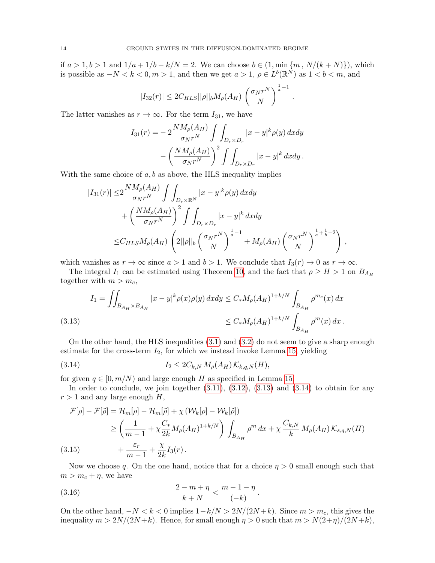if *a* > 1, *b* > 1 and  $1/a + 1/b - k/N = 2$ . We can choose *b* ∈ (1, min {*m*, *N*/(*k* + *N*)}), which is possible as  $-N < k < 0, m > 1$ , and then we get  $a > 1, \, \rho \in L^b(\mathbb{R}^N)$  as  $1 < b < m$ , and

$$
|I_{32}(r)| \leq 2C_{HLS} ||\rho||_b M_\rho(A_H) \left(\frac{\sigma_N r^N}{N}\right)^{\frac{1}{a}-1}
$$

.

The latter vanishes as  $r \to \infty$ . For the term  $I_{31}$ , we have

$$
I_{31}(r) = -2\frac{NM_{\rho}(A_H)}{\sigma_N r^N} \int \int_{D_r \times D_r} |x - y|^k \rho(y) \, dx dy
$$

$$
- \left(\frac{NM_{\rho}(A_H)}{\sigma_N r^N}\right)^2 \int \int_{D_r \times D_r} |x - y|^k \, dx dy.
$$

With the same choice of  $a, b$  as above, the HLS inequality implies

$$
|I_{31}(r)| \leq 2 \frac{NM_{\rho}(A_H)}{\sigma_N r^N} \int \int_{D_r \times \mathbb{R}^N} |x - y|^k \rho(y) \, dx dy
$$
  
+ 
$$
\left(\frac{NM_{\rho}(A_H)}{\sigma_N r^N}\right)^2 \int \int_{D_r \times D_r} |x - y|^k \, dx dy
$$
  

$$
\leq C_{HLS} M_{\rho}(A_H) \left(2||\rho||_b \left(\frac{\sigma_N r^N}{N}\right)^{\frac{1}{a}-1} + M_{\rho}(A_H) \left(\frac{\sigma_N r^N}{N}\right)^{\frac{1}{a}+\frac{1}{b}-2}\right),
$$

which vanishes as  $r \to \infty$  since  $a > 1$  and  $b > 1$ . We conclude that  $I_3(r) \to 0$  as  $r \to \infty$ .

The integral  $I_1$  can be estimated using Theorem [10,](#page-7-2) and the fact that  $\rho \geq H > 1$  on  $B_{A_H}$ together with  $m > m_c$ ,

<span id="page-13-0"></span>(3.13) 
$$
I_1 = \iint_{B_{A_H} \times B_{A_H}} |x - y|^k \rho(x)\rho(y) \, dx dy \le C_* M_\rho (A_H)^{1 + k/N} \int_{B_{A_H}} \rho^{m_c}(x) \, dx
$$

$$
\le C_* M_\rho (A_H)^{1 + k/N} \int_{B_{A_H}} \rho^{m}(x) \, dx \, .
$$

On the other hand, the HLS inequalities [\(3.1\)](#page-7-1) and [\(3.2\)](#page-7-3) do not seem to give a sharp enough estimate for the cross-term  $I_2$ , for which we instead invoke Lemma [15,](#page-9-0) yielding

<span id="page-13-1"></span>(3.14) 
$$
I_2 \leq 2C_{k,N} M_{\rho}(A_H) K_{k,q,N}(H),
$$

for given  $q \in [0, m/N)$  and large enough H as specified in Lemma [15.](#page-9-0)

In order to conclude, we join together  $(3.11)$ ,  $(3.12)$ ,  $(3.13)$  and  $(3.14)$  to obtain for any  $r > 1$  and any large enough H,

$$
\mathcal{F}[\rho] - \mathcal{F}[\tilde{\rho}] = \mathcal{H}_m[\rho] - \mathcal{H}_m[\tilde{\rho}] + \chi \left(\mathcal{W}_k[\rho] - \mathcal{W}_k[\tilde{\rho}]\right)
$$
\n
$$
\geq \left(\frac{1}{m-1} + \chi \frac{C_*}{2k} M_\rho (A_H)^{1+k/N}\right) \int_{B_{A_H}} \rho^m dx + \chi \frac{C_{k,N}}{k} M_\rho (A_H) \mathcal{K}_{s,q,N}(H)
$$
\n(3.15)\n
$$
+ \frac{\varepsilon_r}{m-1} + \frac{\chi}{2k} I_3(r).
$$

<span id="page-13-3"></span>Now we choose q. On the one hand, notice that for a choice  $\eta > 0$  small enough such that  $m > m_c + \eta$ , we have

<span id="page-13-2"></span>(3.16) 
$$
\frac{2-m+\eta}{k+N} < \frac{m-1-\eta}{(-k)}.
$$

On the other hand,  $-N < k < 0$  implies  $1-k/N > 2N/(2N+k)$ . Since  $m > m_c$ , this gives the inequality  $m > 2N/(2N+k)$ . Hence, for small enough  $\eta > 0$  such that  $m > N(2+\eta)/(2N+k)$ ,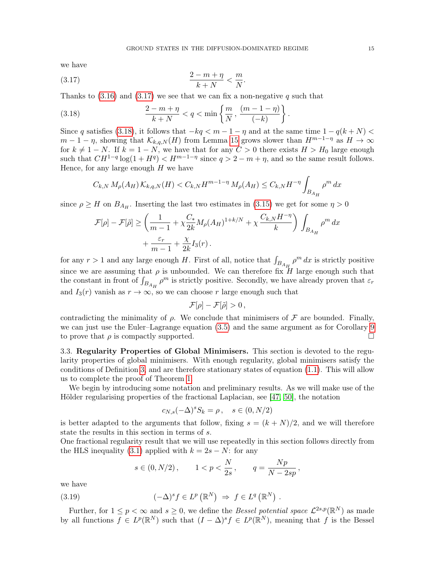<span id="page-14-0"></span>.

.

we have

$$
\frac{2-m+\eta}{k+N} < \frac{m}{N}
$$

Thanks to  $(3.16)$  and  $(3.17)$  we see that we can fix a non-negative q such that

<span id="page-14-1"></span>(3.18) 
$$
\frac{2-m+\eta}{k+N} < q < \min\left\{\frac{m}{N}, \frac{(m-1-\eta)}{(-k)}\right\}
$$

Since q satisfies [\(3.18\)](#page-14-1), it follows that  $-kq < m-1-\eta$  and at the same time  $1-q(k+N) <$  $m-1-\eta$ , showing that  $\mathcal{K}_{k,q,N}(H)$  from Lemma [15](#page-9-0) grows slower than  $H^{m-1-\eta}$  as  $H \to \infty$ for  $k \neq 1 - N$ . If  $k = 1 - N$ , we have that for any  $C > 0$  there exists  $H > H_0$  large enough such that  $CH^{1-q}$  log(1 +  $H^q$ ) <  $H^{m-1-\eta}$  since  $q > 2 - m + \eta$ , and so the same result follows. Hence, for any large enough  $H$  we have

$$
C_{k,N} M_{\rho}(A_H) K_{k,q,N}(H) < C_{k,N} H^{m-1-\eta} M_{\rho}(A_H) \le C_{k,N} H^{-\eta} \int_{B_{A_H}} \rho^m dx
$$

since  $\rho \geq H$  on  $B_{A_H}$ . Inserting the last two estimates in [\(3.15\)](#page-13-3) we get for some  $\eta > 0$ 

$$
\mathcal{F}[\rho] - \mathcal{F}[\tilde{\rho}] \ge \left(\frac{1}{m-1} + \chi \frac{C_*}{2k} M_\rho (A_H)^{1+k/N} + \chi \frac{C_{k,N} H^{-\eta}}{k}\right) \int_{B_{A_H}} \rho^m dx
$$
  
+ 
$$
\frac{\varepsilon_r}{m-1} + \frac{\chi}{2k} I_3(r).
$$

for any  $r > 1$  and any large enough H. First of all, notice that  $\int_{B_{A_H}} \rho^m dx$  is strictly positive since we are assuming that  $\rho$  is unbounded. We can therefore fix  $H$  large enough such that the constant in front of  $\int_{B_{A_H}} \rho^m$  is strictly positive. Secondly, we have already proven that  $\varepsilon_r$ and  $I_3(r)$  vanish as  $r \to \infty$ , so we can choose r large enough such that

$$
\mathcal{F}[\rho]-\mathcal{F}[\tilde{\rho}]>0\,,
$$

contradicting the minimality of  $\rho$ . We conclude that minimisers of  $\mathcal F$  are bounded. Finally, we can just use the Euler–Lagrange equation [\(3.5\)](#page-9-2) and the same argument as for Corollary [9](#page-7-4) to prove that  $\rho$  is compactly supported.

3.3. Regularity Properties of Global Minimisers. This section is devoted to the regularity properties of global minimisers. With enough regularity, global minimisers satisfy the conditions of Definition [3,](#page-4-0) and are therefore stationary states of equation [\(1.1\)](#page-0-0). This will allow us to complete the proof of Theorem [1.](#page-1-1)

We begin by introducing some notation and preliminary results. As we will make use of the Hölder regularising properties of the fractional Laplacian, see [\[47,](#page-24-10) [50\]](#page-24-11), the notation

$$
c_{N,s}(-\Delta)^s S_k = \rho \,, \quad s \in (0, N/2)
$$

is better adapted to the arguments that follow, fixing  $s = (k + N)/2$ , and we will therefore state the results in this section in terms of s.

One fractional regularity result that we will use repeatedly in this section follows directly from the HLS inequality [\(3.1\)](#page-7-1) applied with  $k = 2s - N$ : for any

<span id="page-14-2"></span>
$$
s \in (0, N/2),
$$
  $1 < p < \frac{N}{2s},$   $q = \frac{Np}{N - 2sp},$ 

we have

(3.19) 
$$
(-\Delta)^s f \in L^p(\mathbb{R}^N) \Rightarrow f \in L^q(\mathbb{R}^N)
$$

Further, for  $1 \leq p < \infty$  and  $s \geq 0$ , we define the *Bessel potential space*  $\mathcal{L}^{2s,p}(\mathbb{R}^N)$  as made by all functions  $f \in L^p(\mathbb{R}^N)$  such that  $(I - \Delta)^s f \in L^p(\mathbb{R}^N)$ , meaning that f is the Bessel

.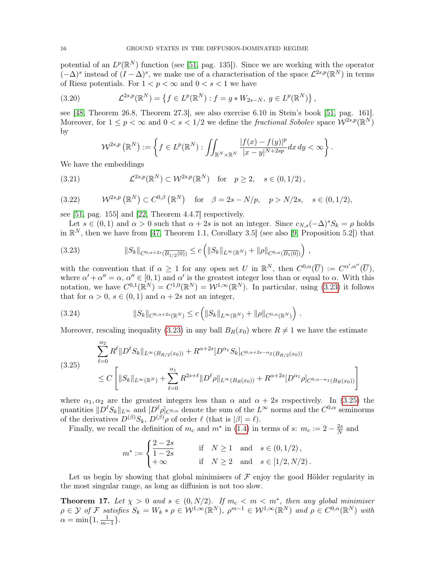potential of an  $L^p(\mathbb{R}^N)$  function (see [\[51,](#page-24-12) pag. 135]). Since we are working with the operator  $(-\Delta)^s$  instead of  $(I - \Delta)^s$ , we make use of a characterisation of the space  $\mathcal{L}^{2s,p}(\mathbb{R}^N)$  in terms of Riesz potentials. For  $1 < p < \infty$  and  $0 < s < 1$  we have

(3.20) 
$$
\mathcal{L}^{2s,p}(\mathbb{R}^N) = \left\{ f \in L^p(\mathbb{R}^N) : f = g * W_{2s-N}, \ g \in L^p(\mathbb{R}^N) \right\},
$$

see [\[48,](#page-24-13) Theorem 26.8, Theorem 27.3], see also exercise 6.10 in Stein's book [\[51,](#page-24-12) pag. 161]. Moreover, for  $1 \leq p < \infty$  and  $0 < s < 1/2$  we define the *fractional Sobolev* space  $W^{2s,p}(\mathbb{R}^N)$ by

<span id="page-15-3"></span><span id="page-15-2"></span>
$$
\mathcal{W}^{2s,p}\left(\mathbb{R}^N\right) := \left\{ f \in L^p(\mathbb{R}^N) : \iint_{\mathbb{R}^N \times \mathbb{R}^N} \frac{|f(x) - f(y)|^p}{|x - y|^{N + 2sp}} dx dy < \infty \right\}.
$$

We have the embeddings

(3.21) 
$$
\mathcal{L}^{2s,p}(\mathbb{R}^N) \subset \mathcal{W}^{2s,p}(\mathbb{R}^N) \text{ for } p \ge 2, s \in (0,1/2),
$$

<span id="page-15-4"></span>(3.22) 
$$
W^{2s,p}(\mathbb{R}^N) \subset C^{0,\beta}(\mathbb{R}^N) \text{ for } \beta = 2s - N/p, \quad p > N/2s, \quad s \in (0,1/2),
$$

see [\[51,](#page-24-12) pag. 155] and [\[22,](#page-23-23) Theorem 4.4.7] respectively.

Let  $s \in (0, 1)$  and  $\alpha > 0$  such that  $\alpha + 2s$  is not an integer. Since  $c_{N,s}(-\Delta)^s S_k = \rho$  holds in  $\mathbb{R}^N$ , then we have from [\[47,](#page-24-10) Theorem 1.1, Corollary 3.5] (see also [\[9,](#page-23-24) Proposition 5.2]) that

<span id="page-15-0"></span>
$$
(3.23) \t\t\t||S_k||_{C^{0,\alpha+2s}(\overline{B_{1/2}(0)})} \leq c \left( ||S_k||_{L^{\infty}(\mathbb{R}^N)} + ||\rho||_{C^{0,\alpha}(\overline{B_1(0)})} \right),
$$

with the convention that if  $\alpha \geq 1$  for any open set U in  $\mathbb{R}^N$ , then  $C^{0,\alpha}(\overline{U}) := C^{\alpha',\alpha''}(\overline{U})$ , where  $\alpha' + \alpha'' = \alpha$ ,  $\alpha'' \in [0, 1)$  and  $\alpha'$  is the greatest integer less than or equal to  $\alpha$ . With this notation, we have  $C^{0,1}(\mathbb{R}^N) = C^{1,0}(\mathbb{R}^N) = \mathcal{W}^{1,\infty}(\mathbb{R}^N)$ . In particular, using [\(3.23\)](#page-15-0) it follows that for  $\alpha > 0$ ,  $s \in (0, 1)$  and  $\alpha + 2s$  not an integer,

<span id="page-15-5"></span>(3.24) 
$$
||S_k||_{C^{0,\alpha+2s}(\mathbb{R}^N)} \leq c \left(||S_k||_{L^{\infty}(\mathbb{R}^N)} + ||\rho||_{C^{0,\alpha}(\mathbb{R}^N)}\right).
$$

Moreover, rescaling inequality [\(3.23\)](#page-15-0) in any ball  $B_R(x_0)$  where  $R \neq 1$  we have the estimate

<span id="page-15-1"></span>
$$
(3.25) \qquad \sum_{\ell=0}^{\alpha_2} R^{\ell} \| D^{\ell} S_k \|_{L^{\infty}(B_{R/2}(x_0))} + R^{\alpha+2s} [D^{\alpha_1} S_k]_{C^{0,\alpha+2s-\alpha_2}(B_{R/2}(x_0))}
$$
\n
$$
\leq C \left[ \| S_k \|_{L^{\infty}(\mathbb{R}^N)} + \sum_{\ell=0}^{\alpha_1} R^{2s+\ell} \| D^{\ell} \rho \|_{L^{\infty}(B_R(x_0))} + R^{\alpha+2s} [D^{\alpha_1} \rho]_{C^{0,\alpha-\alpha_1}(B_R(x_0))} \right]
$$

where  $\alpha_1, \alpha_2$  are the greatest integers less than  $\alpha$  and  $\alpha + 2s$  respectively. In [\(3.25\)](#page-15-1) the quantities  $||D^{\ell}S_k||_{L^{\infty}}$  and  $[D^{\ell} \rho]_{C^{0,\alpha}}$  denote the sum of the  $L^{\infty}$  norms and the  $C^{0,\alpha}$  seminorms of the derivatives  $D^{(\beta)}S_k$ ,  $D^{(\beta)}\rho$  of order  $\ell$  (that is  $|\beta| = \ell$ ).

Finally, we recall the definition of  $m_c$  and  $m^*$  in [\(1.4\)](#page-1-3) in terms of s:  $m_c := 2 - \frac{2s}{N}$  $\frac{2s}{N}$  and

$$
m^* := \begin{cases} \frac{2-2s}{1-2s} & \text{if } N \ge 1 \text{ and } s \in (0,1/2), \\ +\infty & \text{if } N \ge 2 \text{ and } s \in [1/2, N/2). \end{cases}
$$

Let us begin by showing that global minimisers of  $\mathcal F$  enjoy the good Hölder regularity in the most singular range, as long as diffusion is not too slow.

<span id="page-15-6"></span>**Theorem 17.** Let  $\chi > 0$  and  $s \in (0, N/2)$ . If  $m_c < m < m^*$ , then any global minimiser  $\rho \in \mathcal{Y}$  of F satisfies  $S_k = W_k * \rho \in \mathcal{W}^{1,\infty}(\mathbb{R}^N)$ ,  $\rho^{m-1} \in \mathcal{W}^{1,\infty}(\mathbb{R}^N)$  and  $\rho \in C^{0,\alpha}(\mathbb{R}^N)$  with  $\alpha = \min\{1, \frac{1}{m-1}\}.$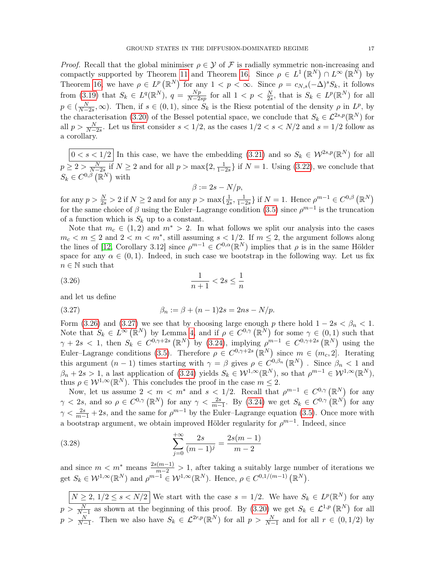*Proof.* Recall that the global minimiser  $\rho \in \mathcal{Y}$  of F is radially symmetric non-increasing and compactly supported by Theorem [11](#page-8-1) and Theorem [16.](#page-11-0) Since  $\rho \in L^1(\mathbb{R}^N) \cap L^{\infty}(\mathbb{R}^N)$  by Theorem [16,](#page-11-0) we have  $\rho \in L^p(\mathbb{R}^N)$  for any  $1 < p < \infty$ . Since  $\rho = c_{N,s}(-\Delta)^s S_k$ , it follows from [\(3.19\)](#page-14-2) that  $S_k \in L^q(\mathbb{R}^N)$ ,  $q = \frac{Np}{N-2}$  $\frac{Np}{N-2sp}$  for all  $1 < p < \frac{N}{2s}$ , that is  $S_k \in L^p(\mathbb{R}^N)$  for all  $p \in (\frac{N}{N-2s}, \infty)$ . Then, if  $s \in (0,1)$ , since  $S_k$  is the Riesz potential of the density  $\rho$  in  $L^p$ , by the characterisation [\(3.20\)](#page-15-2) of the Bessel potential space, we conclude that  $S_k \in \mathcal{L}^{2s,p}(\mathbb{R}^N)$  for all  $p > \frac{N}{N-2s}$ . Let us first consider  $s < 1/2$ , as the cases  $1/2 < s < N/2$  and  $s = 1/2$  follow as a corollary.

 $0 < s < 1/2$  In this case, we have the embedding [\(3.21\)](#page-15-3) and so  $S_k \in \mathcal{W}^{2s,p}(\mathbb{R}^N)$  for all  $p \ge 2 > \frac{N}{N-2s}$  if  $N \ge 2$  and for all  $p > \max\{2, \frac{1}{1-2s}\}\$  if  $N = 1$ . Using  $(3.22)$ , we conclude that  $S_k \in C^{0,\beta}(\mathbb{R}^N)$  with

<span id="page-16-0"></span>
$$
\beta := 2s - N/p,
$$

for any  $p > \frac{N}{2s} > 2$  if  $N \ge 2$  and for any  $p > \max\{\frac{1}{2s}\}$  $\frac{1}{2s}, \frac{1}{1-2s}$  if  $N = 1$ . Hence  $\rho^{m-1} \in C^{0,\beta}(\mathbb{R}^N)$ for the same choice of  $\beta$  using the Euler–Lagrange condition [\(3.5\)](#page-9-2) since  $\rho^{m-1}$  is the truncation of a function which is  $S_k$  up to a constant.

Note that  $m_c \in (1, 2)$  and  $m^* > 2$ . In what follows we split our analysis into the cases  $m_c < m \le 2$  and  $2 < m < m^*$ , still assuming  $s < 1/2$ . If  $m \le 2$ , the argument follows along the lines of [\[12,](#page-23-17) Corollary 3.12] since  $\rho^{m-1} \in C^{0,\alpha}(\mathbb{R}^N)$  implies that  $\rho$  is in the same Hölder space for any  $\alpha \in (0,1)$ . Indeed, in such case we bootstrap in the following way. Let us fix  $n \in \mathbb{N}$  such that

$$
(3.26)\quad \frac{1}{n+1} < 2s \le \frac{1}{n}
$$

and let us define

<span id="page-16-1"></span>(3.27) 
$$
\beta_n := \beta + (n-1)2s = 2ns - N/p.
$$

Form [\(3.26\)](#page-16-0) and [\(3.27\)](#page-16-1) we see that by choosing large enough p there hold  $1 - 2s < \beta_n < 1$ . Note that  $S_k \in L^{\infty}(\mathbb{R}^N)$  by Lemma [4,](#page-4-2) and if  $\rho \in C^{0,\gamma}(\mathbb{R}^N)$  for some  $\gamma \in (0,1)$  such that  $\gamma + 2s < 1$ , then  $S_k \in C^{0,\gamma+2s}(\mathbb{R}^N)$  by [\(3.24\)](#page-15-5), implying  $\rho^{m-1} \in C^{0,\gamma+2s}(\mathbb{R}^N)$  using the Euler–Lagrange conditions [\(3.5\)](#page-9-2). Therefore  $\rho \in C^{0,\gamma+2s}(\mathbb{R}^N)$  since  $m \in (m_c,2]$ . Iterating this argument  $(n-1)$  times starting with  $\gamma = \beta$  gives  $\rho \in C^{0,\beta_n}(\mathbb{R}^N)$ . Since  $\beta_n < 1$  and  $\beta_n + 2s > 1$ , a last application of  $(3.24)$  yields  $S_k \in \mathcal{W}^{1,\infty}(\mathbb{R}^N)$ , so that  $\rho^{m-1} \in \mathcal{W}^{1,\infty}(\mathbb{R}^N)$ , thus  $\rho \in \mathcal{W}^{1,\infty}(\mathbb{R}^N)$ . This concludes the proof in the case  $m \leq 2$ .

Now, let us assume  $2 < m < m^*$  and  $s < 1/2$ . Recall that  $\rho^{m-1} \in C^{0,\gamma}(\mathbb{R}^N)$  for any  $\gamma$  < 2s, and so  $\rho \in C^{0,\gamma}(\mathbb{R}^N)$  for any  $\gamma < \frac{2s}{m-1}$ . By [\(3.24\)](#page-15-5) we get  $S_k \in C^{0,\gamma}(\mathbb{R}^N)$  for any  $\gamma < \frac{2s}{m-1} + 2s$ , and the same for  $\rho^{m-1}$  by the Euler-Lagrange equation [\(3.5\)](#page-9-2). Once more with a bootstrap argument, we obtain improved Hölder regularity for  $\rho^{m-1}$ . Indeed, since

<span id="page-16-2"></span>(3.28) 
$$
\sum_{j=0}^{+\infty} \frac{2s}{(m-1)^j} = \frac{2s(m-1)}{m-2}
$$

and since  $m < m^*$  means  $\frac{2s(m-1)}{m-2} > 1$ , after taking a suitably large number of iterations we get  $S_k \in \mathcal{W}^{1,\infty}(\mathbb{R}^N)$  and  $\rho^{m-1} \in \mathcal{W}^{1,\infty}(\mathbb{R}^N)$ . Hence,  $\rho \in C^{0,1/(m-1)}(\mathbb{R}^N)$ .

 $N \geq 2, 1/2 \leq s < N/2$  We start with the case  $s = 1/2$ . We have  $S_k \in L^p(\mathbb{R}^N)$  for any  $p > \frac{N}{N-1}$  as shown at the beginning of this proof. By  $(3.20)$  we get  $S_k \in \mathcal{L}^{1,p}(\mathbb{R}^N)$  for all  $p > \frac{N}{N-1}$ . Then we also have  $S_k \in \mathcal{L}^{2r,p}(\mathbb{R}^N)$  for all  $p > \frac{N}{N-1}$  and for all  $r \in (0,1/2)$  by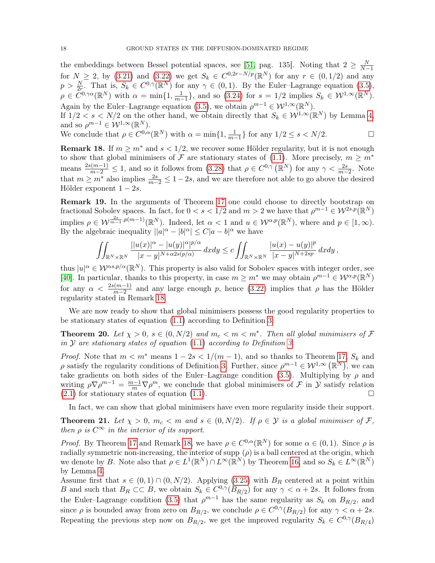the embeddings between Bessel potential spaces, see [\[51,](#page-24-12) pag. 135]. Noting that  $2 \geq \frac{N}{N-1}$ for  $N \ge 2$ , by [\(3.21\)](#page-15-3) and [\(3.22\)](#page-15-4) we get  $S_k \in C^{0,2r-N/p}(\mathbb{R}^N)$  for any  $r \in (0,1/2)$  and any  $p > \frac{N}{2r}$ . That is,  $S_k \in C^{0,\gamma}(\mathbb{R}^N)$  for any  $\gamma \in (0,1)$ . By the Euler-Lagrange equation  $(3.5)$ ,  $\rho \in \tilde{C}^{0,\gamma\alpha}(\mathbb{R}^N)$  with  $\alpha = \min\{1, \frac{1}{m-1}\}\$ , and so [\(3.24\)](#page-15-5) for  $s = 1/2$  implies  $S_k \in \mathcal{W}^{1,\infty}(\mathbb{R}^N)$ . Again by the Euler–Lagrange equation [\(3.5\)](#page-9-2), we obtain  $\rho^{m-1} \in \mathcal{W}^{1,\infty}(\mathbb{R}^N)$ .

If  $1/2 < s < N/2$  on the other hand, we obtain directly that  $S_k \in \mathcal{W}^{1,\infty}(\mathbb{R}^N)$  by Lemma [4,](#page-4-2) and so  $\rho^{m-1} \in \mathcal{W}^{1,\infty}(\mathbb{R}^N)$ .

We conclude that 
$$
\rho \in C^{0,\alpha}(\mathbb{R}^N)
$$
 with  $\alpha = \min\{1, \frac{1}{m-1}\}\$ for any  $1/2 \le s \le N/2$ .

<span id="page-17-1"></span>**Remark 18.** If  $m \geq m^*$  and  $s < 1/2$ , we recover some Hölder regularity, but it is not enough to show that global minimisers of F are stationary states of [\(1.1\)](#page-0-0). More precisely,  $m \geq m^*$ means  $\frac{2s(m-1)}{m-2} \leq 1$ , and so it follows from [\(3.28\)](#page-16-2) that  $\rho \in C^{0,\gamma}(\mathbb{R}^N)$  for any  $\gamma < \frac{2s}{m-2}$ . Note that  $m \geq m^*$  also implies  $\frac{2s}{m-2} \leq 1-2s$ , and we are therefore not able to go above the desired Hölder exponent  $1 - 2s$ .

Remark 19. In the arguments of Theorem [17](#page-15-6) one could choose to directly bootstrap on fractional Sobolev spaces. In fact, for  $0 < s < 1/2$  and  $m > 2$  we have that  $\rho^{m-1} \in \mathcal{W}^{2s,p}(\mathbb{R}^N)$ implies  $\rho \in \mathcal{W}^{\frac{2s}{m-1}, p(m-1)}(\mathbb{R}^N)$ . Indeed, let  $\alpha < 1$  and  $u \in \mathcal{W}^{\alpha, p}(\mathbb{R}^N)$ , where and  $p \in [1, \infty)$ . By the algebraic inequality  $||a|^{\alpha} - |b|^{\alpha}| \leq C |a - b|^{\alpha}$  we have

$$
\iint_{\mathbb{R}^N\times\mathbb{R}^N}\frac{||u(x)|^\alpha-|u(y)|^\alpha|^{p/\alpha}}{|x-y|^{N+\alpha 2s(p/\alpha)}}\,dxdy\leq c\iint_{\mathbb{R}^N\times\mathbb{R}^N}\frac{|u(x)-u(y)|^p}{|x-y|^{N+2sp}}\,dxdy,
$$

thus  $|u|^\alpha \in \mathcal{W}^{\alpha s, p/\alpha}(\mathbb{R}^N)$ . This property is also valid for Sobolev spaces with integer order, see [\[40\]](#page-24-14). In particular, thanks to this property, in case  $m \geq m^*$  we may obtain  $\rho^{m-1} \in \mathcal{W}^{\alpha,p}(\mathbb{R}^N)$ for any  $\alpha < \frac{2s(m-1)}{m-2}$  and any large enough p, hence [\(3.22\)](#page-15-4) implies that  $\rho$  has the Hölder regularity stated in Remark [18.](#page-17-1)

We are now ready to show that global minimisers possess the good regularity properties to be stationary states of equation [\(1.1\)](#page-0-0) according to Definition [3.](#page-4-0)

<span id="page-17-2"></span>**Theorem 20.** Let  $\chi > 0$ ,  $s \in (0, N/2)$  and  $m_c < m < m^*$ . Then all global minimisers of  $\mathcal F$ in  $\mathcal Y$  are stationary states of equation [\(1.1\)](#page-0-0) according to Definition [3.](#page-4-0)

*Proof.* Note that  $m < m^*$  means  $1 - 2s < 1/(m - 1)$ , and so thanks to Theorem [17,](#page-15-6)  $S_k$  and  $\rho$  satisfy the regularity conditions of Definition [3.](#page-4-0) Further, since  $\rho^{m-1} \in \mathcal{W}^{1,\infty}(\mathbb{R}^N)$ , we can take gradients on both sides of the Euler–Lagrange condition [\(3.5\)](#page-9-2). Multiplying by  $\rho$  and writing  $\rho \nabla \rho^{m-1} = \frac{m-1}{m} \nabla \rho^m$ , we conclude that global minimisers of F in Y satisfy relation  $(2.1)$  for stationary states of equation  $(1.1)$ .

In fact, we can show that global minimisers have even more regularity inside their support.

<span id="page-17-0"></span>**Theorem 21.** Let  $\chi > 0$ ,  $m_c < m$  and  $s \in (0, N/2)$ . If  $\rho \in \mathcal{Y}$  is a global minimiser of F, then  $\rho$  is  $C^{\infty}$  in the interior of its support.

*Proof.* By Theorem [17](#page-15-6) and Remark [18,](#page-17-1) we have  $\rho \in C^{0,\alpha}(\mathbb{R}^N)$  for some  $\alpha \in (0,1)$ . Since  $\rho$  is radially symmetric non-increasing, the interior of supp  $(\rho)$  is a ball centered at the origin, which we denote by B. Note also that  $\rho \in L^1(\mathbb{R}^N) \cap L^\infty(\mathbb{R}^N)$  by Theorem [16,](#page-11-0) and so  $S_k \in L^\infty(\mathbb{R}^N)$ by Lemma [4.](#page-4-2)

Assume first that  $s \in (0,1) \cap (0,N/2)$ . Applying [\(3.25\)](#page-15-1) with  $B_R$  centered at a point within B and such that  $B_R \subset\subset B$ , we obtain  $S_k \in C^{0,\gamma}(B_{R/2})$  for any  $\gamma < \alpha + 2s$ . It follows from the Euler–Lagrange condition [\(3.5\)](#page-9-2) that  $\rho^{m-1}$  has the same regularity as  $S_k$  on  $B_{R/2}$ , and since  $\rho$  is bounded away from zero on  $B_{R/2}$ , we conclude  $\rho \in C^{0,\gamma}(B_{R/2})$  for any  $\gamma < \alpha + 2s$ . Repeating the previous step now on  $B_{R/2}$ , we get the improved regularity  $S_k \in C^{0,\gamma}(B_{R/4})$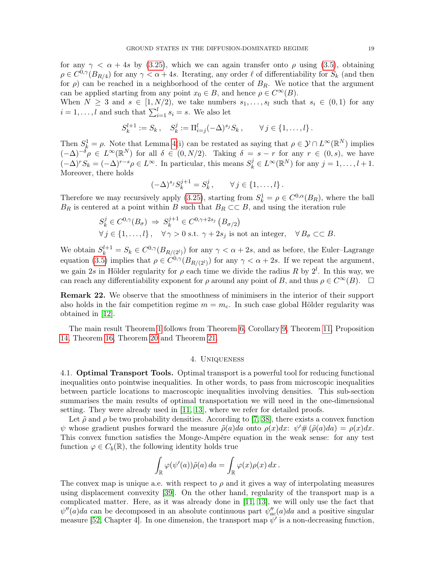for any  $\gamma < \alpha + 4s$  by [\(3.25\)](#page-15-1), which we can again transfer onto  $\rho$  using [\(3.5\)](#page-9-2), obtaining  $\rho \in C^{0,\gamma}(B_{R/4})$  for any  $\gamma < \alpha + 4s$ . Iterating, any order  $\ell$  of differentiability for  $S_k$  (and then for  $\rho$ ) can be reached in a neighborhood of the center of  $B_R$ . We notice that the argument can be applied starting from any point  $x_0 \in B$ , and hence  $\rho \in C^{\infty}(B)$ .

When  $N \geq 3$  and  $s \in [1, N/2)$ , we take numbers  $s_1, \ldots, s_l$  such that  $s_i \in (0, 1)$  for any  $i = 1, \ldots, l$  and such that  $\sum_{i=1}^{l} s_i = s$ . We also let

$$
S_k^{l+1} := S_k \,, \quad S_k^j := \Pi_{i=j}^l (-\Delta)^{s_j} S_k \,, \qquad \forall j \in \{1, \dots, l\} \,.
$$

Then  $S_k^1 = \rho$ . Note that Lemma [4\(](#page-4-2)i) can be restated as saying that  $\rho \in \mathcal{Y} \cap L^{\infty}(\mathbb{R}^N)$  implies  $(-\Delta)^{-\delta} \rho \in L^{\infty}(\mathbb{R}^N)$  for all  $\delta \in (0, N/2)$ . Taking  $\delta = s - r$  for any  $r \in (0, s)$ , we have  $(-\Delta)^r S_k = (-\Delta)^{r-s} \rho \in L^{\infty}$ . In particular, this means  $S_k^j \in L^{\infty}(\mathbb{R}^N)$  for any  $j = 1, ..., l + 1$ . Moreover, there holds

$$
(-\Delta)^{s_j} S_k^{j+1} = S_k^j, \qquad \forall j \in \{1, \ldots, l\}.
$$

Therefore we may recursively apply [\(3.25\)](#page-15-1), starting from  $S_k^1 = \rho \in C^{0,\alpha}(B_R)$ , where the ball  $B_R$  is centered at a point within B such that  $B_R \subset\subset B$ , and using the iteration rule

$$
S_k^j \in C^{0,\gamma}(B_{\sigma}) \Rightarrow S_k^{j+1} \in C^{0,\gamma+2s_j} (B_{\sigma/2})
$$
  

$$
\forall j \in \{1, ..., l\}, \quad \forall \gamma > 0 \text{ s.t. } \gamma + 2s_j \text{ is not an integer}, \quad \forall B_{\sigma} \subset\subset B.
$$

We obtain  $S_k^{l+1} = S_k \in C^{0,\gamma}(B_{R/(2^l)})$  for any  $\gamma < \alpha + 2s$ , and as before, the Euler–Lagrange equation [\(3.5\)](#page-9-2) implies that  $\rho \in C^{0,\gamma}(B_{R/(2^l)})$  for any  $\gamma < \alpha + 2s$ . If we repeat the argument, we gain 2s in Hölder regularity for  $\rho$  each time we divide the radius R by 2<sup>l</sup>. In this way, we can reach any differentiability exponent for  $\rho$  around any point of B, and thus  $\rho \in C^{\infty}(B)$ .  $\square$ 

Remark 22. We observe that the smoothness of minimisers in the interior of their support also holds in the fair competition regime  $m = m_c$ . In such case global Hölder regularity was obtained in [\[12\]](#page-23-17).

The main result Theorem [1](#page-1-1) follows from Theorem [6,](#page-4-5) Corollary [9,](#page-7-4) Theorem [11,](#page-8-1) Proposition [14,](#page-9-1) Theorem [16,](#page-11-0) Theorem [20](#page-17-2) and Theorem [21.](#page-17-0)

# 4. Uniqueness

<span id="page-18-0"></span>4.1. Optimal Transport Tools. Optimal transport is a powerful tool for reducing functional inequalities onto pointwise inequalities. In other words, to pass from microscopic inequalities between particle locations to macroscopic inequalities involving densities. This sub-section summarises the main results of optimal transportation we will need in the one-dimensional setting. They were already used in [\[11,](#page-23-25) [13\]](#page-23-18), where we refer for detailed proofs.

Let  $\tilde{\rho}$  and  $\rho$  be two probability densities. According to [\[7,](#page-23-26) [38\]](#page-24-15), there exists a convex function  $\psi$  whose gradient pushes forward the measure  $\tilde{\rho}(a)da$  onto  $\rho(x)dx$ :  $\psi'\#(\tilde{\rho}(a)da) = \rho(x)dx$ . This convex function satisfies the Monge-Ampère equation in the weak sense: for any test function  $\varphi \in C_b(\mathbb{R})$ , the following identity holds true

$$
\int_{\mathbb{R}} \varphi(\psi'(a))\tilde{\rho}(a) da = \int_{\mathbb{R}} \varphi(x)\rho(x) dx.
$$

The convex map is unique a.e. with respect to  $\rho$  and it gives a way of interpolating measures using displacement convexity [\[39\]](#page-24-16). On the other hand, regularity of the transport map is a complicated matter. Here, as it was already done in [\[11,](#page-23-25) [13\]](#page-23-18), we will only use the fact that  $\psi''(a)da$  can be decomposed in an absolute continuous part  $\psi''_{ac}(a)da$  and a positive singular measure [\[52,](#page-24-17) Chapter 4]. In one dimension, the transport map  $\psi'$  is a non-decreasing function,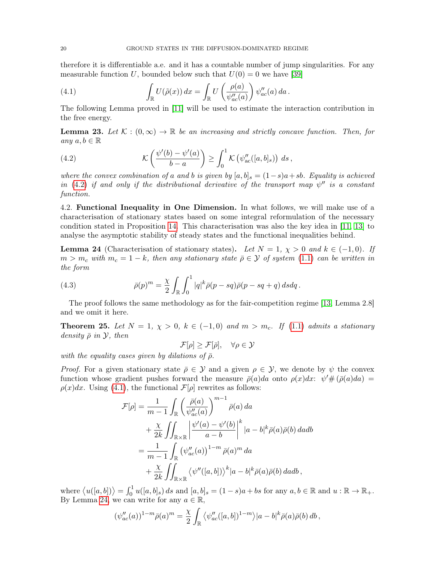therefore it is differentiable a.e. and it has a countable number of jump singularities. For any measurable function U, bounded below such that  $U(0) = 0$  we have [\[39\]](#page-24-16)

<span id="page-19-1"></span>(4.1) 
$$
\int_{\mathbb{R}} U(\tilde{\rho}(x)) dx = \int_{\mathbb{R}} U\left(\frac{\rho(a)}{\psi''_{ac}(a)}\right) \psi''_{ac}(a) da.
$$

The following Lemma proved in [\[11\]](#page-23-25) will be used to estimate the interaction contribution in the free energy.

<span id="page-19-3"></span>**Lemma 23.** Let  $\mathcal{K} : (0, \infty) \to \mathbb{R}$  be an increasing and strictly concave function. Then, for any  $a, b \in \mathbb{R}$ 

<span id="page-19-0"></span>(4.2) 
$$
\mathcal{K}\left(\frac{\psi'(b)-\psi'(a)}{b-a}\right) \geq \int_0^1 \mathcal{K}\left(\psi''_{ac}([a,b]_s)\right) ds,
$$

where the convex combination of a and b is given by  $[a, b]_s = (1-s)a + sb$ . Equality is achieved in [\(4.2\)](#page-19-0) if and only if the distributional derivative of the transport map  $\psi''$  is a constant function.

4.2. Functional Inequality in One Dimension. In what follows, we will make use of a characterisation of stationary states based on some integral reformulation of the necessary condition stated in Proposition [14.](#page-9-1) This characterisation was also the key idea in [\[11,](#page-23-25) [13\]](#page-23-18) to analyse the asymptotic stability of steady states and the functional inequalities behind.

<span id="page-19-2"></span>**Lemma 24** (Characterisation of stationary states). Let  $N = 1$ ,  $\chi > 0$  and  $k \in (-1, 0)$ . If  $m > m_c$  with  $m_c = 1 - k$ , then any stationary state  $\bar{\rho} \in \mathcal{Y}$  of system [\(1.1\)](#page-0-0) can be written in the form

<span id="page-19-4"></span>(4.3) 
$$
\bar{\rho}(p)^m = \frac{\chi}{2} \int_{\mathbb{R}} \int_0^1 |q|^k \bar{\rho}(p - sq) \bar{\rho}(p - sq + q) \, ds dq.
$$

The proof follows the same methodology as for the fair-competition regime [\[13,](#page-23-18) Lemma 2.8] and we omit it here.

<span id="page-19-5"></span>**Theorem 25.** Let  $N = 1$ ,  $\chi > 0$ ,  $k \in (-1,0)$  and  $m > m_c$ . If [\(1.1\)](#page-0-0) admits a stationary density  $\bar{\rho}$  in  $\mathcal{Y}$ , then

 $\mathcal{F}[\rho] > \mathcal{F}[\bar{\rho}], \quad \forall \rho \in \mathcal{Y}$ 

with the equality cases given by dilations of  $\bar{\rho}$ .

*Proof.* For a given stationary state  $\bar{\rho} \in \mathcal{Y}$  and a given  $\rho \in \mathcal{Y}$ , we denote by  $\psi$  the convex function whose gradient pushes forward the measure  $\bar{\rho}(a)da$  onto  $\rho(x)dx$ :  $\psi'\#(\bar{\rho}(a)da)$  =  $\rho(x)dx$ . Using [\(4.1\)](#page-19-1), the functional  $\mathcal{F}[\rho]$  rewrites as follows:

$$
\mathcal{F}[\rho] = \frac{1}{m-1} \int_{\mathbb{R}} \left( \frac{\bar{\rho}(a)}{\psi_{ac}^{\prime\prime}(a)} \right)^{m-1} \bar{\rho}(a) da \n+ \frac{\chi}{2k} \iint_{\mathbb{R} \times \mathbb{R}} \left| \frac{\psi'(a) - \psi'(b)}{a - b} \right|^k |a - b|^k \bar{\rho}(a) \bar{\rho}(b) da db \n= \frac{1}{m-1} \int_{\mathbb{R}} (\psi_{ac}^{\prime\prime}(a))^{1-m} \bar{\rho}(a)^m da \n+ \frac{\chi}{2k} \iint_{\mathbb{R} \times \mathbb{R}} \langle \psi''([a, b]) \rangle^k |a - b|^k \bar{\rho}(a) \bar{\rho}(b) da db,
$$

where  $\langle u([a, b]) \rangle = \int_0^1 u([a, b]_s) ds$  and  $[a, b]_s = (1 - s)a + bs$  for any  $a, b \in \mathbb{R}$  and  $u : \mathbb{R} \to \mathbb{R}_+$ . By Lemma [24,](#page-19-2) we can write for any  $a \in \mathbb{R}$ ,

$$
(\psi''_{ac}(a))^{1-m}\bar{\rho}(a)^m=\frac{\chi}{2}\int_{\mathbb{R}}\left\langle\psi''_{ac}([a,b])^{1-m}\right\rangle|a-b|^k\bar{\rho}(a)\bar{\rho}(b)\,db\,,
$$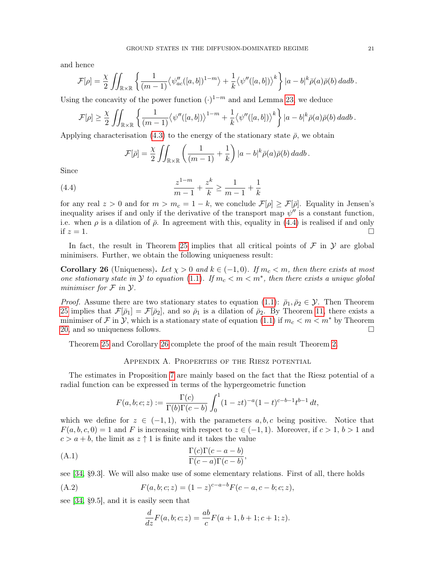and hence

$$
\mathcal{F}[\rho] = \frac{\chi}{2} \iint_{\mathbb{R} \times \mathbb{R}} \left\{ \frac{1}{(m-1)} \langle \psi_{ac}''([a,b])^{1-m} \rangle + \frac{1}{k} \langle \psi''([a,b]) \rangle^k \right\} |a-b|^k \bar{\rho}(a) \bar{\rho}(b) \, da db \, .
$$

Using the concavity of the power function  $(·)^{1-m}$  and and Lemma [23,](#page-19-3) we deduce

$$
\mathcal{F}[\rho] \geq \frac{\chi}{2} \iint_{\mathbb{R} \times \mathbb{R}} \left\{ \frac{1}{(m-1)} \langle \psi''([a,b]) \rangle^{1-m} + \frac{1}{k} \langle \psi''([a,b]) \rangle^k \right\} |a-b|^k \bar{\rho}(a) \bar{\rho}(b) \, da db \, .
$$

Applying characterisation [\(4.3\)](#page-19-4) to the energy of the stationary state  $\bar{\rho}$ , we obtain

<span id="page-20-1"></span>
$$
\mathcal{F}[\bar{\rho}] = \frac{\chi}{2} \iint_{\mathbb{R} \times \mathbb{R}} \left( \frac{1}{(m-1)} + \frac{1}{k} \right) |a-b|^k \bar{\rho}(a) \bar{\rho}(b) \, da db \, .
$$

Since

(4.4) 
$$
\frac{z^{1-m}}{m-1} + \frac{z^k}{k} \ge \frac{1}{m-1} + \frac{1}{k}
$$

for any real  $z > 0$  and for  $m > m_c = 1 - k$ , we conclude  $\mathcal{F}[\rho] \geq \mathcal{F}[\bar{\rho}]$ . Equality in Jensen's inequality arises if and only if the derivative of the transport map  $\psi''$  is a constant function, i.e. when  $\rho$  is a dilation of  $\bar{\rho}$ . In agreement with this, equality in [\(4.4\)](#page-20-1) is realised if and only if  $z = 1$ .

In fact, the result in Theorem [25](#page-19-5) implies that all critical points of  $\mathcal F$  in  $\mathcal Y$  are global minimisers. Further, we obtain the following uniqueness result:

<span id="page-20-2"></span>**Corollary 26** (Uniqueness). Let  $\chi > 0$  and  $k \in (-1,0)$ . If  $m_c < m$ , then there exists at most one stationary state in  $Y$  to equation [\(1.1\)](#page-0-0). If  $m_c < m < m^*$ , then there exists a unique global minimiser for  $\mathcal F$  in  $\mathcal Y$ .

*Proof.* Assume there are two stationary states to equation [\(1.1\)](#page-0-0):  $\bar{\rho}_1, \bar{\rho}_2 \in \mathcal{Y}$ . Then Theorem [25](#page-19-5) implies that  $\mathcal{F}[\bar{\rho}_1] = \mathcal{F}[\bar{\rho}_2]$ , and so  $\bar{\rho}_1$  is a dilation of  $\bar{\rho}_2$ . By Theorem [11,](#page-8-1) there exists a minimiser of F in Y, which is a stationary state of equation [\(1.1\)](#page-0-0) if  $m_c < m < m^*$  by Theorem [20,](#page-17-2) and so uniqueness follows.

Theorem [25](#page-19-5) and Corollary [26](#page-20-2) complete the proof of the main result Theorem [2.](#page-1-4)

### Appendix A. Properties of the Riesz potential

<span id="page-20-0"></span>The estimates in Proposition [7](#page-6-0) are mainly based on the fact that the Riesz potential of a radial function can be expressed in terms of the hypergeometric function

$$
F(a, b; c; z) := \frac{\Gamma(c)}{\Gamma(b)\Gamma(c - b)} \int_0^1 (1 - zt)^{-a} (1 - t)^{c - b - 1} t^{b - 1} dt,
$$

which we define for  $z \in (-1,1)$ , with the parameters  $a, b, c$  being positive. Notice that  $F(a, b, c, 0) = 1$  and F is increasing with respect to  $z \in (-1, 1)$ . Moreover, if  $c > 1$ ,  $b > 1$  and  $c > a + b$ , the limit as  $z \uparrow 1$  is finite and it takes the value

(A.1) 
$$
\frac{\Gamma(c)\Gamma(c-a-b)}{\Gamma(c-a)\Gamma(c-b)},
$$

see [\[34,](#page-24-18) §9.3]. We will also make use of some elementary relations. First of all, there holds

(A.2) 
$$
F(a, b; c; z) = (1 - z)^{c - a - b} F(c - a, c - b; c; z),
$$

see [\[34,](#page-24-18) §9.5], and it is easily seen that

<span id="page-20-4"></span><span id="page-20-3"></span>
$$
\frac{d}{dz}F(a, b; c; z) = \frac{ab}{c}F(a+1, b+1; c+1; z).
$$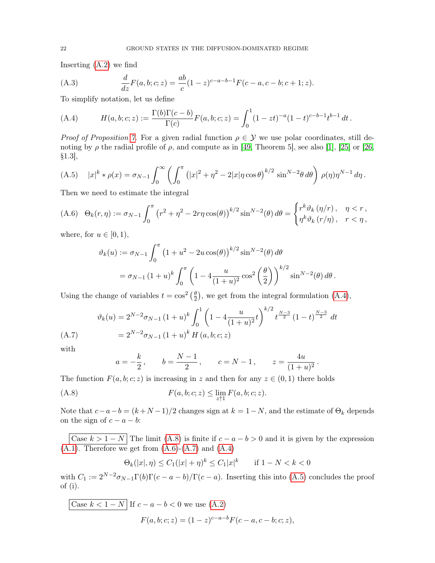Inserting [\(A.2\)](#page-20-3) we find

<span id="page-21-5"></span>(A.3) 
$$
\frac{d}{dz}F(a,b;c;z) = \frac{ab}{c}(1-z)^{c-a-b-1}F(c-a,c-b;c+1;z).
$$

To simplify notation, let us define

<span id="page-21-0"></span>(A.4) 
$$
H(a, b; c; z) := \frac{\Gamma(b)\Gamma(c - b)}{\Gamma(c)}F(a, b; c; z) = \int_0^1 (1 - zt)^{-a}(1 - t)^{c - b - 1}t^{b - 1} dt.
$$

*Proof of Proposition [7.](#page-6-0)* For a given radial function  $\rho \in \mathcal{Y}$  we use polar coordinates, still denoting by  $\rho$  the radial profile of  $\rho$ , and compute as in [\[49,](#page-24-6) Theorem 5], see also [\[1\]](#page-22-3), [\[25\]](#page-23-27) or [\[26,](#page-23-28) §1.3],

<span id="page-21-4"></span>(A.5) 
$$
|x|^k * \rho(x) = \sigma_{N-1} \int_0^\infty \left( \int_0^\pi (|x|^2 + \eta^2 - 2|x| \eta \cos \theta)^{k/2} \sin^{N-2} \theta \, d\theta \right) \rho(\eta) \eta^{N-1} d\eta
$$
.

Then we need to estimate the integral

<span id="page-21-2"></span>(A.6) 
$$
\Theta_k(r,\eta) := \sigma_{N-1} \int_0^{\pi} \left( r^2 + \eta^2 - 2r\eta \cos(\theta) \right)^{k/2} \sin^{N-2}(\theta) d\theta = \begin{cases} r^k \vartheta_k(\eta/r), & \eta < r, \\ \eta^k \vartheta_k(r/\eta), & r < \eta, \end{cases}
$$

where, for  $u \in [0, 1)$ ,

$$
\vartheta_k(u) := \sigma_{N-1} \int_0^{\pi} \left( 1 + u^2 - 2u \cos(\theta) \right)^{k/2} \sin^{N-2}(\theta) d\theta
$$
  
=  $\sigma_{N-1} (1 + u)^k \int_0^{\pi} \left( 1 - 4 \frac{u}{(1 + u)^2} \cos^2 \left( \frac{\theta}{2} \right) \right)^{k/2} \sin^{N-2}(\theta) d\theta.$ 

Using the change of variables  $t = \cos^2 \left(\frac{\theta}{2}\right)$  $\frac{\theta}{2}$ , we get from the integral formulation [\(A.4\)](#page-21-0),

<span id="page-21-3"></span>
$$
\vartheta_k(u) = 2^{N-2}\sigma_{N-1}(1+u)^k \int_0^1 \left(1 - 4\frac{u}{(1+u)^2}t\right)^{k/2} t^{\frac{N-3}{2}} (1-t)^{\frac{N-3}{2}} dt
$$
\n(A.7)\n
$$
= 2^{N-2}\sigma_{N-1}(1+u)^k H(a,b;c;z)
$$

with

<span id="page-21-1"></span>
$$
a = -\frac{k}{2}
$$
,  $b = \frac{N-1}{2}$ ,  $c = N-1$ ,  $z = \frac{4u}{(1+u)^2}$ .

The function  $F(a, b; c; z)$  is increasing in z and then for any  $z \in (0, 1)$  there holds

(A.8) 
$$
F(a, b; c; z) \leq \lim_{z \uparrow 1} F(a, b; c; z).
$$

Note that  $c-a-b = (k+N-1)/2$  changes sign at  $k = 1-N$ , and the estimate of  $\Theta_k$  depends on the sign of  $c - a - b$ :

Case  $k > 1 - N$  The limit [\(A.8\)](#page-21-1) is finite if  $c - a - b > 0$  and it is given by the expression  $(A.1)$ . Therefore we get from  $(A.6)-(A.7)$  $(A.6)-(A.7)$  $(A.6)-(A.7)$  and  $(A.4)$ 

$$
\Theta_k(|x|, \eta) \le C_1(|x| + \eta)^k \le C_1|x|^k \quad \text{if } 1 - N < k < 0
$$

with  $C_1 := 2^{N-2}\sigma_{N-1}\Gamma(b)\Gamma(c-a-b)/\Gamma(c-a)$ . Inserting this into [\(A.5\)](#page-21-4) concludes the proof of (i).

Case 
$$
k < 1 - N
$$
 If  $c - a - b < 0$  we use (A.2)  

$$
F(a, b; c; z) = (1 - z)^{c - a - b} F(c - a, c - b; c; z),
$$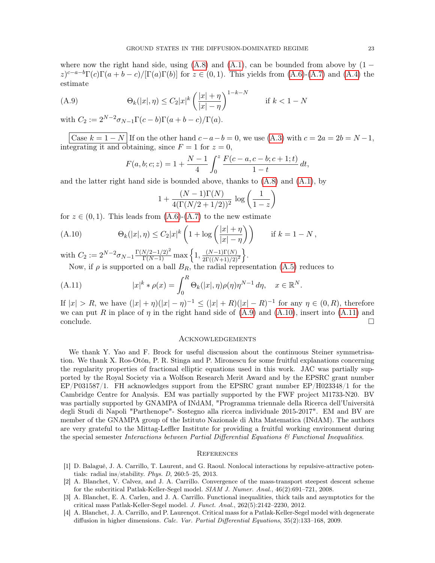where now the right hand side, using  $(A.8)$  and  $(A.1)$ , can be bounded from above by  $(1 (z)^{c-a-b}\Gamma(c)\Gamma(a+b-c)/[\Gamma(a)\Gamma(b)]$  for  $z \in (0,1)$ . This yields from  $(A.6)-(A.7)$  $(A.6)-(A.7)$  $(A.6)-(A.7)$  and  $(A.4)$  the estimate

(A.9) 
$$
\Theta_k(|x|, \eta) \le C_2 |x|^k \left(\frac{|x| + \eta}{|x| - \eta}\right)^{1 - k - N} \quad \text{if } k < 1 - N
$$

with  $C_2 := 2^{N-2}\sigma_{N-1}\Gamma(c-b)\Gamma(a+b-c)/\Gamma(a)$ .

Case  $k = 1 - N$  If on the other hand  $c - a - b = 0$ , we use [\(A.3\)](#page-21-5) with  $c = 2a = 2b = N - 1$ , integrating it and obtaining, since  $F = 1$  for  $z = 0$ ,

<span id="page-22-4"></span>
$$
F(a, b; c; z) = 1 + \frac{N - 1}{4} \int_0^z \frac{F(c - a, c - b; c + 1; t)}{1 - t} dt,
$$

and the latter right hand side is bounded above, thanks to  $(A.8)$  and  $(A.1)$ , by

<span id="page-22-5"></span>
$$
1 + \frac{(N-1)\Gamma(N)}{4(\Gamma(N/2 + 1/2))^2} \log\left(\frac{1}{1-z}\right)
$$

for  $z \in (0,1)$ . This leads from  $(A.6)-(A.7)$  $(A.6)-(A.7)$  $(A.6)-(A.7)$  to the new estimate

(A.10) 
$$
\Theta_k(|x|,\eta) \leq C_2|x|^k \left(1 + \log\left(\frac{|x| + \eta}{|x| - \eta}\right)\right) \quad \text{if } k = 1 - N,
$$

with  $C_2 := 2^{N-2} \sigma_{N-1} \frac{\Gamma(N/2 - 1/2)^2}{\Gamma(N-1)} \max\left\{1, \frac{(N-1)\Gamma(N)}{2\Gamma((N+1)/2)}\right\}$  $2\Gamma((N+1)/2)^2$ o .

<span id="page-22-6"></span>Now, if  $\rho$  is supported on a ball  $B_R$ , the radial representation  $(A.5)$  reduces to

(A.11) 
$$
|x|^k * \rho(x) = \int_0^R \Theta_k(|x|, \eta) \rho(\eta) \eta^{N-1} d\eta, \quad x \in \mathbb{R}^N.
$$

If  $|x| > R$ , we have  $(|x| + \eta)(|x| - \eta)^{-1} \leq (|x| + R)(|x| - R)^{-1}$  for any  $\eta \in (0, R)$ , therefore we can put R in place of  $\eta$  in the right hand side of [\(A.9\)](#page-22-4) and [\(A.10\)](#page-22-5), insert into [\(A.11\)](#page-22-6) and conclude. □

## Acknowledgements

We thank Y. Yao and F. Brock for useful discussion about the continuous Steiner symmetrisation. We thank X. Ros-Otón, P. R. Stinga and P. Mironescu for some fruitful explanations concerning the regularity properties of fractional elliptic equations used in this work. JAC was partially supported by the Royal Society via a Wolfson Research Merit Award and by the EPSRC grant number EP/P031587/1. FH acknowledges support from the EPSRC grant number EP/H023348/1 for the Cambridge Centre for Analysis. EM was partially supported by the FWF project M1733-N20. BV was partially supported by GNAMPA of INdAM, "Programma triennale della Ricerca dell'Università degli Studi di Napoli "Parthenope"- Sostegno alla ricerca individuale 2015-2017". EM and BV are member of the GNAMPA group of the Istituto Nazionale di Alta Matematica (INdAM). The authors are very grateful to the Mittag-Leffler Institute for providing a fruitful working environment during the special semester Interactions between Partial Differential Equations  $\mathcal{B}$  Functional Inequalities.

#### **REFERENCES**

- <span id="page-22-3"></span>[1] D. Balagué, J. A. Carrillo, T. Laurent, and G. Raoul. Nonlocal interactions by repulsive-attractive potentials: radial ins/stability. Phys. D, 260:5–25, 2013.
- <span id="page-22-0"></span>[2] A. Blanchet, V. Calvez, and J. A. Carrillo. Convergence of the mass-transport steepest descent scheme for the subcritical Patlak-Keller-Segel model. SIAM J. Numer. Anal., 46(2):691–721, 2008.
- <span id="page-22-1"></span>[3] A. Blanchet, E. A. Carlen, and J. A. Carrillo. Functional inequalities, thick tails and asymptotics for the critical mass Patlak-Keller-Segel model. J. Funct. Anal., 262(5):2142–2230, 2012.
- <span id="page-22-2"></span>[4] A. Blanchet, J. A. Carrillo, and P. Laurençot. Critical mass for a Patlak-Keller-Segel model with degenerate diffusion in higher dimensions. Calc. Var. Partial Differential Equations, 35(2):133-168, 2009.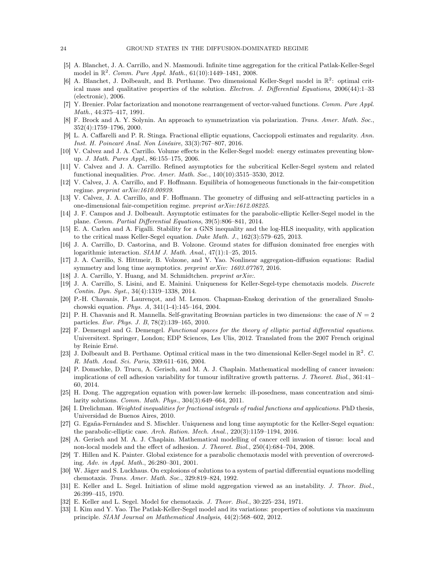- <span id="page-23-10"></span>[5] A. Blanchet, J. A. Carrillo, and N. Masmoudi. Infinite time aggregation for the critical Patlak-Keller-Segel model in  $\mathbb{R}^2$ . Comm. Pure Appl. Math., 61(10):1449-1481, 2008.
- <span id="page-23-9"></span>[6] A. Blanchet, J. Dolbeault, and B. Perthame. Two dimensional Keller-Segel model in  $\mathbb{R}^2$ : optimal critical mass and qualitative properties of the solution. Electron. J. Differential Equations, 2006(44):1–33 (electronic), 2006.
- <span id="page-23-26"></span>[7] Y. Brenier. Polar factorization and monotone rearrangement of vector-valued functions. Comm. Pure Appl. Math., 44:375–417, 1991.
- <span id="page-23-21"></span>[8] F. Brock and A. Y. Solynin. An approach to symmetrization via polarization. Trans. Amer. Math. Soc., 352(4):1759–1796, 2000.
- <span id="page-23-24"></span>[9] L. A. Caffarelli and P. R. Stinga. Fractional elliptic equations, Caccioppoli estimates and regularity. Ann. Inst. H. Poincaré Anal. Non Linéaire, 33(3):767–807, 2016.
- <span id="page-23-1"></span>[10] V. Calvez and J. A. Carrillo. Volume effects in the Keller-Segel model: energy estimates preventing blowup. J. Math. Pures Appl., 86:155–175, 2006.
- <span id="page-23-25"></span>[11] V. Calvez and J. A. Carrillo. Refined asymptotics for the subcritical Keller-Segel system and related functional inequalities. Proc. Amer. Math. Soc., 140(10):3515–3530, 2012.
- <span id="page-23-17"></span>[12] V. Calvez, J. A. Carrillo, and F. Hoffmann. Equilibria of homogeneous functionals in the fair-competition regime. preprint  $arXiv:1610.00939$ .
- <span id="page-23-18"></span>[13] V. Calvez, J. A. Carrillo, and F. Hoffmann. The geometry of diffusing and self-attracting particles in a one-dimensional fair-competition regime. preprint arXiv:1612.08225.
- <span id="page-23-13"></span>[14] J. F. Campos and J. Dolbeault. Asymptotic estimates for the parabolic-elliptic Keller-Segel model in the plane. Comm. Partial Differential Equations, 39(5):806–841, 2014.
- <span id="page-23-11"></span>[15] E. A. Carlen and A. Figalli. Stability for a GNS inequality and the log-HLS inequality, with application to the critical mass Keller-Segel equation. Duke Math. J., 162(3):579–625, 2013.
- <span id="page-23-19"></span>[16] J. A. Carrillo, D. Castorina, and B. Volzone. Ground states for diffusion dominated free energies with logarithmic interaction. SIAM J. Math. Anal., 47(1):1–25, 2015.
- <span id="page-23-20"></span>[17] J. A. Carrillo, S. Hittmeir, B. Volzone, and Y. Yao. Nonlinear aggregation-diffusion equations: Radial symmetry and long time asymptotics. *preprint arXiv:* 1603.07767, 2016.
- <span id="page-23-4"></span>[18] J. A. Carrillo, Y. Huang, and M. Schmidtchen. *preprint arXiv:*.
- <span id="page-23-12"></span>[19] J. A. Carrillo, S. Lisini, and E. Mainini. Uniqueness for Keller-Segel-type chemotaxis models. Discrete Contin. Dyn. Syst., 34(4):1319–1338, 2014.
- <span id="page-23-15"></span>[20] P.-H. Chavanis, P. Laurençot, and M. Lemou. Chapman-Enskog derivation of the generalized Smoluchowski equation. Phys. A, 341(1-4):145–164, 2004.
- <span id="page-23-16"></span>[21] P. H. Chavanis and R. Mannella. Self-gravitating Brownian particles in two dimensions: the case of  $N = 2$ particles. Eur. Phys. J. B, 78(2):139–165, 2010.
- <span id="page-23-23"></span>[22] F. Demengel and G. Demengel. Functional spaces for the theory of elliptic partial differential equations. Universitext. Springer, London; EDP Sciences, Les Ulis, 2012. Translated from the 2007 French original by Reinie Erné.
- <span id="page-23-8"></span>[23] J. Dolbeault and B. Perthame. Optimal critical mass in the two dimensional Keller-Segel model in  $\mathbb{R}^2$ . C. R. Math. Acad. Sci. Paris, 339:611–616, 2004.
- <span id="page-23-3"></span>[24] P. Domschke, D. Trucu, A. Gerisch, and M. A. J. Chaplain. Mathematical modelling of cancer invasion: implications of cell adhesion variability for tumour infiltrative growth patterns. J. Theoret. Biol., 361:41– 60, 2014.
- <span id="page-23-27"></span>[25] H. Dong. The aggregation equation with power-law kernels: ill-posedness, mass concentration and similarity solutions. Comm. Math. Phys., 304(3):649–664, 2011.
- <span id="page-23-28"></span>[26] I. Drelichman. Weighted inequalities for fractional integrals of radial functions and applications. PhD thesis, Universidad de Buenos Aires, 2010.
- <span id="page-23-14"></span>[27] G. Egaña-Fernández and S. Mischler. Uniqueness and long time asymptotic for the Keller-Segel equation: the parabolic-elliptic case. Arch. Ration. Mech. Anal.,  $220(3):1159-1194$ ,  $2016$ .
- <span id="page-23-2"></span>[28] A. Gerisch and M. A. J. Chaplain. Mathematical modelling of cancer cell invasion of tissue: local and non-local models and the effect of adhesion. J. Theoret. Biol., 250(4):684–704, 2008.
- <span id="page-23-0"></span>[29] T. Hillen and K. Painter. Global existence for a parabolic chemotaxis model with prevention of overcrowding. Adv. in Appl. Math., 26:280–301, 2001.
- <span id="page-23-7"></span>[30] W. Jäger and S. Luckhaus. On explosions of solutions to a system of partial differential equations modelling chemotaxis. Trans. Amer. Math. Soc., 329:819–824, 1992.
- <span id="page-23-5"></span>[31] E. Keller and L. Segel. Initiation of slime mold aggregation viewed as an instability. J. Theor. Biol., 26:399–415, 1970.
- <span id="page-23-6"></span>[32] E. Keller and L. Segel. Model for chemotaxis. J. Theor. Biol., 30:225–234, 1971.
- <span id="page-23-22"></span>[33] I. Kim and Y. Yao. The Patlak-Keller-Segel model and its variations: properties of solutions via maximum principle. SIAM Journal on Mathematical Analysis, 44(2):568–602, 2012.